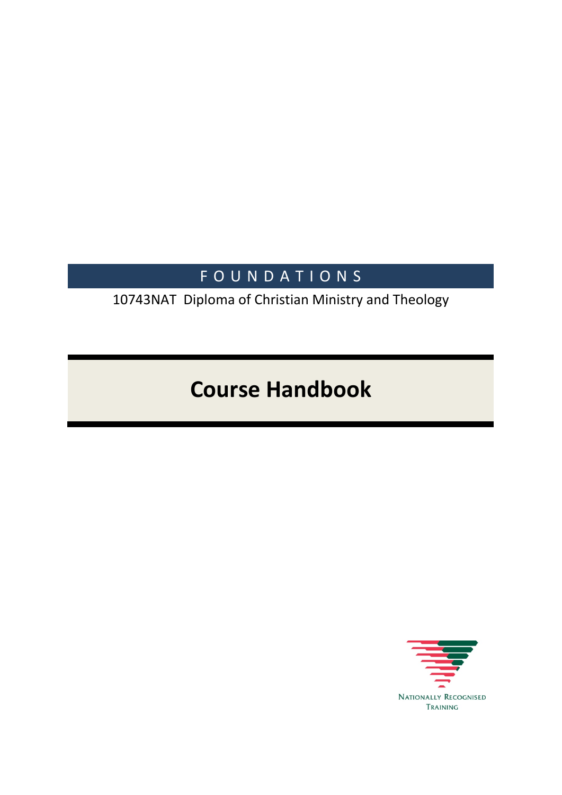## F O U N D A T I O N S

10743NAT Diploma of Christian Ministry and Theology

# **Course Handbook**

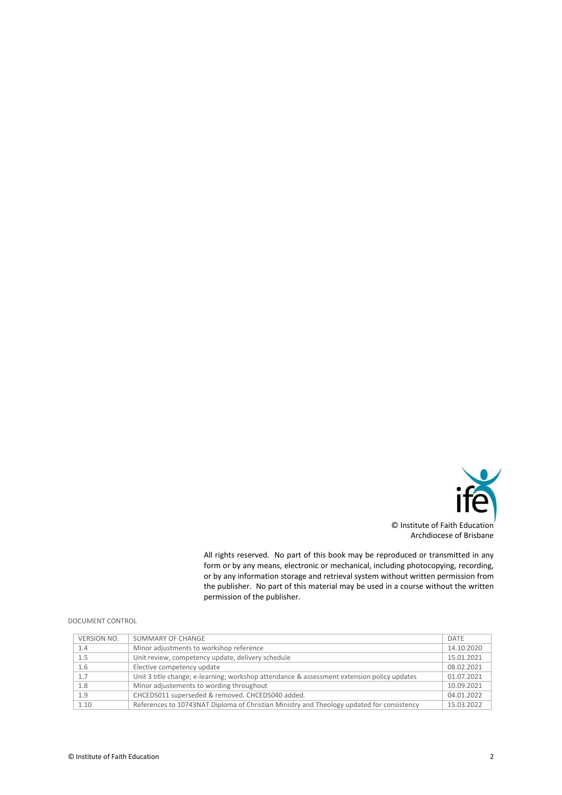

All rights reserved. No part of this book may be reproduced or transmitted in any form or by any means, electronic or mechanical, including photocopying, recording, or by any information storage and retrieval system without written permission from the publisher. No part of this material may be used in a course without the written permission of the publisher.

#### DOCUMENT CONTROL

| <b>VERSION NO.</b> | SUMMARY OF CHANGE                                                                          | DATE       |
|--------------------|--------------------------------------------------------------------------------------------|------------|
| 1.4                | Minor adjustments to workshop reference                                                    | 14.10.2020 |
| 1.5                | Unit review, competency update, delivery schedule                                          | 15.01.2021 |
| 1.6                | Elective competency update                                                                 | 08.02.2021 |
| 1.7                | Unit 3 title change; e-learning; workshop attendance & assessment extension policy updates | 01.07.2021 |
| 1.8                | Minor adjustements to wording throughout                                                   | 10.09.2021 |
| 1.9                | CHCEDS011 superseded & removed. CHCEDS040 added.                                           | 04.01.2022 |
| 1.10               | References to 10743NAT Diploma of Christian Ministry and Theology updated for consistency  | 15.03.2022 |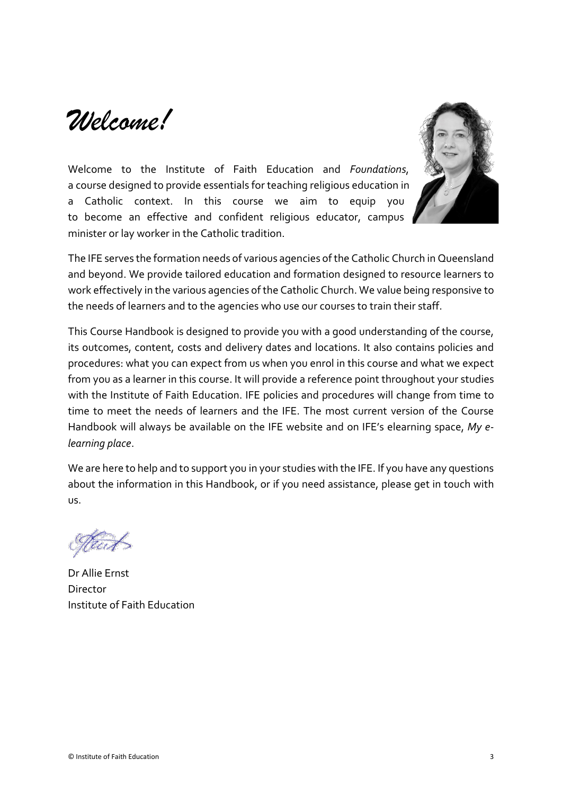# *Welcome!*

Welcome to the Institute of Faith Education and *Foundations*, a course designed to provide essentials for teaching religious education in a Catholic context. In this course we aim to equip you to become an effective and confident religious educator, campus minister or lay worker in the Catholic tradition.



The IFE serves the formation needs of various agencies of the Catholic Church in Queensland and beyond. We provide tailored education and formation designed to resource learners to work effectively in the various agencies of the Catholic Church. We value being responsive to the needs of learners and to the agencies who use our courses to train their staff.

This Course Handbook is designed to provide you with a good understanding of the course, its outcomes, content, costs and delivery dates and locations. It also contains policies and procedures: what you can expect from us when you enrol in this course and what we expect from you as a learner in this course. It will provide a reference point throughout your studies with the Institute of Faith Education. IFE policies and procedures will change from time to time to meet the needs of learners and the IFE. The most current version of the Course Handbook will always be available on the IFE website and on IFE's elearning space, *My elearning place*.

We are here to help and to support you in your studies with the IFE. If you have any questions about the information in this Handbook, or if you need assistance, please get in touch with us.

Dr Allie Ernst Director Institute of Faith Education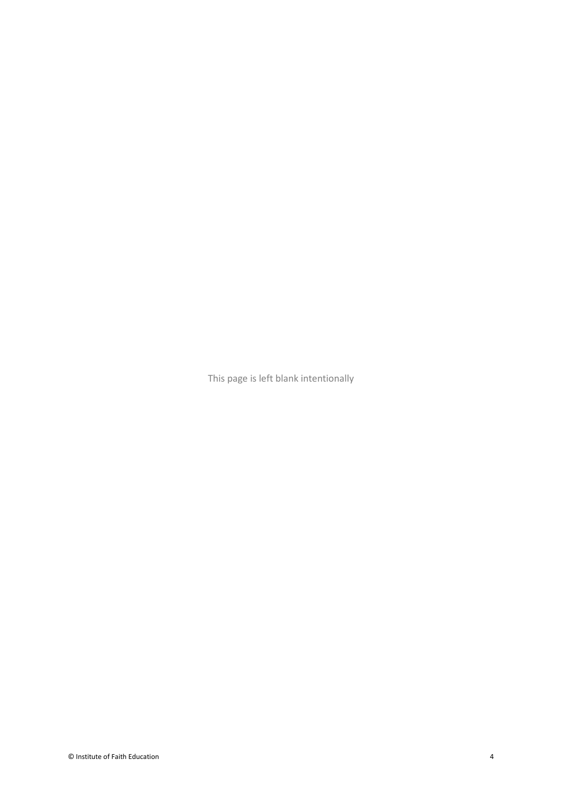This page is left blank intentionally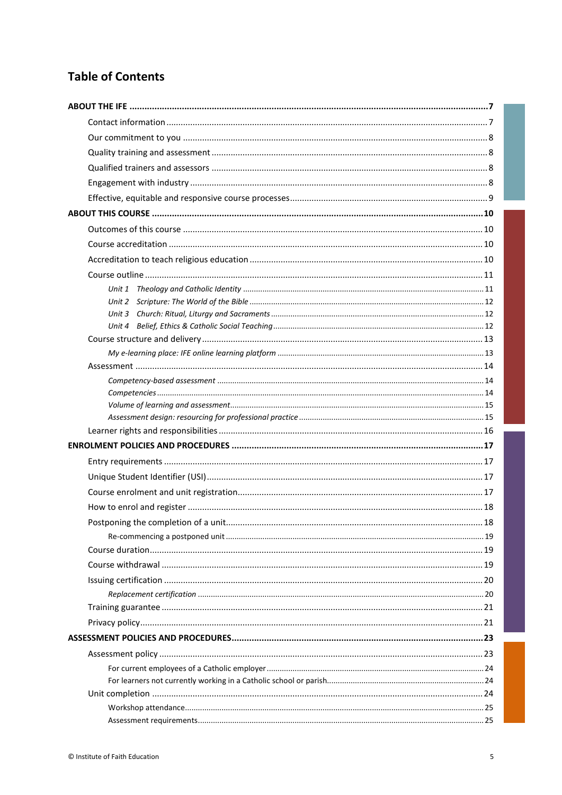## **Table of Contents**

| Unit 1                              |    |
|-------------------------------------|----|
|                                     |    |
|                                     |    |
|                                     |    |
|                                     |    |
|                                     |    |
|                                     |    |
|                                     |    |
|                                     |    |
|                                     |    |
|                                     |    |
|                                     |    |
|                                     |    |
|                                     |    |
|                                     |    |
|                                     |    |
| Postponing the completion of a unit | 18 |
|                                     |    |
|                                     |    |
|                                     |    |
|                                     |    |
|                                     |    |
|                                     |    |
|                                     |    |
|                                     |    |
|                                     |    |
|                                     |    |
|                                     |    |
|                                     |    |
|                                     |    |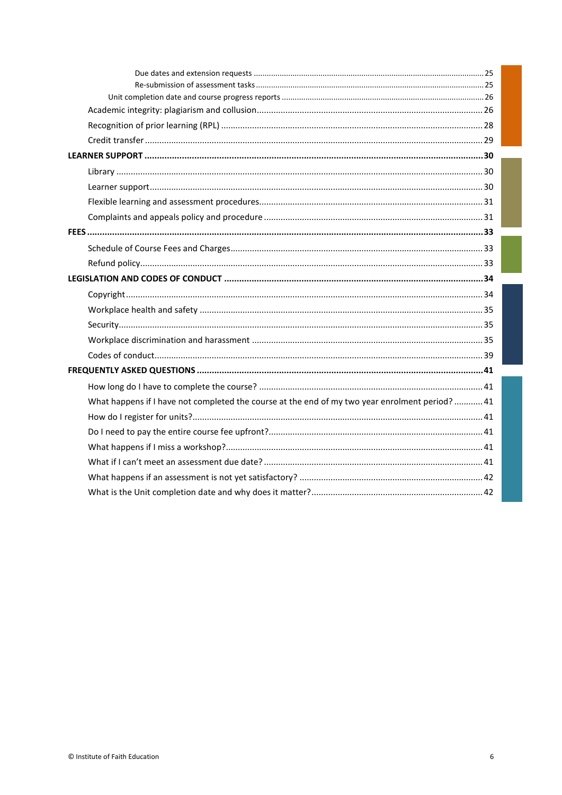| What happens if I have not completed the course at the end of my two year enrolment period? 41 |  |
|------------------------------------------------------------------------------------------------|--|
|                                                                                                |  |
|                                                                                                |  |
|                                                                                                |  |
|                                                                                                |  |
|                                                                                                |  |
|                                                                                                |  |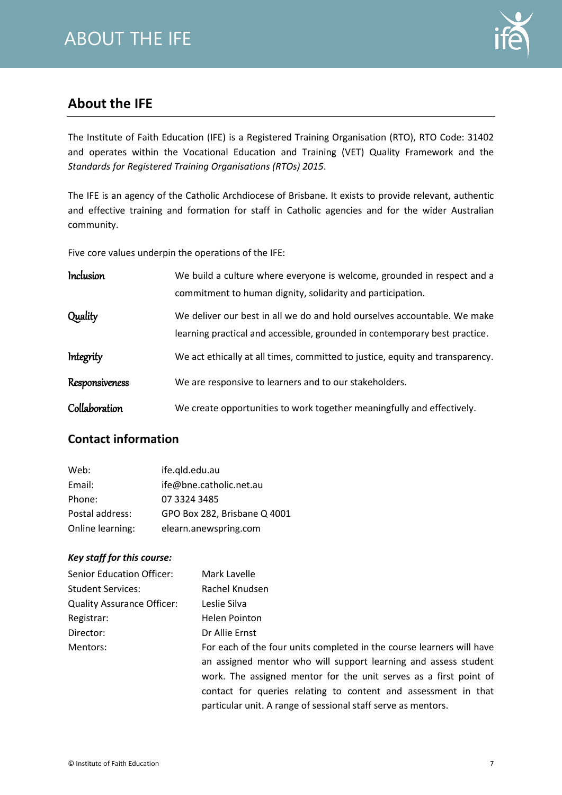## ABOUT THE IFE



## <span id="page-6-0"></span>**About the IFE**

The Institute of Faith Education (IFE) is a Registered Training Organisation (RTO), RTO Code: 31402 and operates within the Vocational Education and Training (VET) Quality Framework and the *Standards for Registered Training Organisations (RTOs) 2015*.

The IFE is an agency of the Catholic Archdiocese of Brisbane. It exists to provide relevant, authentic and effective training and formation for staff in Catholic agencies and for the wider Australian community.

Five core values underpin the operations of the IFE:

| Inclusion        | We build a culture where everyone is welcome, grounded in respect and a<br>commitment to human dignity, solidarity and participation.                  |
|------------------|--------------------------------------------------------------------------------------------------------------------------------------------------------|
| Quality          | We deliver our best in all we do and hold ourselves accountable. We make<br>learning practical and accessible, grounded in contemporary best practice. |
| <b>Integrity</b> | We act ethically at all times, committed to justice, equity and transparency.                                                                          |
| Responsiveness   | We are responsive to learners and to our stakeholders.                                                                                                 |
| Collaboration    | We create opportunities to work together meaningfully and effectively.                                                                                 |

## <span id="page-6-1"></span>**Contact information**

| Web:             | ife.gld.edu.au               |
|------------------|------------------------------|
| Email:           | ife@bne.catholic.net.au      |
| Phone:           | 07 3324 3485                 |
| Postal address:  | GPO Box 282, Brisbane Q 4001 |
| Online learning: | elearn.anewspring.com        |

#### *Key staff for this course:*

| Senior Education Officer:         | Mark Lavelle                                                                                                                                                                                                                                                                                                                                     |
|-----------------------------------|--------------------------------------------------------------------------------------------------------------------------------------------------------------------------------------------------------------------------------------------------------------------------------------------------------------------------------------------------|
| <b>Student Services:</b>          | Rachel Knudsen                                                                                                                                                                                                                                                                                                                                   |
| <b>Quality Assurance Officer:</b> | Leslie Silva                                                                                                                                                                                                                                                                                                                                     |
| Registrar:                        | Helen Pointon                                                                                                                                                                                                                                                                                                                                    |
| Director:                         | Dr Allie Ernst                                                                                                                                                                                                                                                                                                                                   |
| Mentors:                          | For each of the four units completed in the course learners will have<br>an assigned mentor who will support learning and assess student<br>work. The assigned mentor for the unit serves as a first point of<br>contact for queries relating to content and assessment in that<br>particular unit. A range of sessional staff serve as mentors. |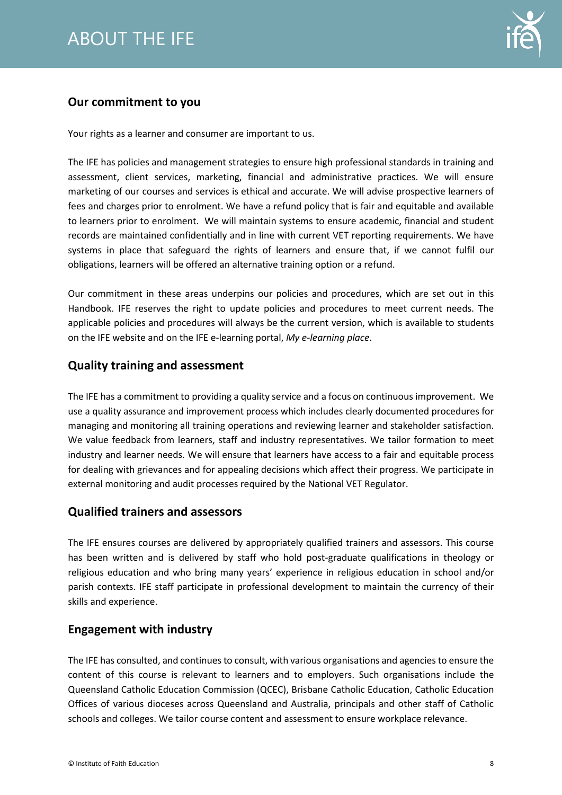

## <span id="page-7-0"></span>**Our commitment to you**

Your rights as a learner and consumer are important to us.

The IFE has policies and management strategies to ensure high professional standards in training and assessment, client services, marketing, financial and administrative practices. We will ensure marketing of our courses and services is ethical and accurate. We will advise prospective learners of fees and charges prior to enrolment. We have a refund policy that is fair and equitable and available to learners prior to enrolment. We will maintain systems to ensure academic, financial and student records are maintained confidentially and in line with current VET reporting requirements. We have systems in place that safeguard the rights of learners and ensure that, if we cannot fulfil our obligations, learners will be offered an alternative training option or a refund.

Our commitment in these areas underpins our policies and procedures, which are set out in this Handbook. IFE reserves the right to update policies and procedures to meet current needs. The applicable policies and procedures will always be the current version, which is available to students on the IFE website and on the IFE e-learning portal, *My e-learning place*.

## <span id="page-7-1"></span>**Quality training and assessment**

The IFE has a commitment to providing a quality service and a focus on continuous improvement. We use a quality assurance and improvement process which includes clearly documented procedures for managing and monitoring all training operations and reviewing learner and stakeholder satisfaction. We value feedback from learners, staff and industry representatives. We tailor formation to meet industry and learner needs. We will ensure that learners have access to a fair and equitable process for dealing with grievances and for appealing decisions which affect their progress. We participate in external monitoring and audit processes required by the National VET Regulator.

## <span id="page-7-2"></span>**Qualified trainers and assessors**

The IFE ensures courses are delivered by appropriately qualified trainers and assessors. This course has been written and is delivered by staff who hold post-graduate qualifications in theology or religious education and who bring many years' experience in religious education in school and/or parish contexts. IFE staff participate in professional development to maintain the currency of their skills and experience.

## <span id="page-7-3"></span>**Engagement with industry**

The IFE has consulted, and continues to consult, with various organisations and agencies to ensure the content of this course is relevant to learners and to employers. Such organisations include the Queensland Catholic Education Commission (QCEC), Brisbane Catholic Education, Catholic Education Offices of various dioceses across Queensland and Australia, principals and other staff of Catholic schools and colleges. We tailor course content and assessment to ensure workplace relevance.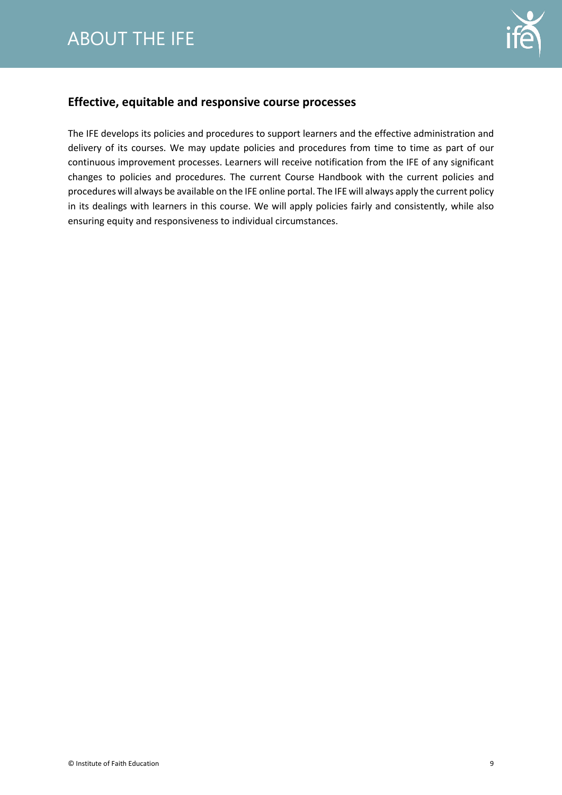

## <span id="page-8-0"></span>**Effective, equitable and responsive course processes**

The IFE develops its policies and procedures to support learners and the effective administration and delivery of its courses. We may update policies and procedures from time to time as part of our continuous improvement processes. Learners will receive notification from the IFE of any significant changes to policies and procedures. The current Course Handbook with the current policies and procedures will always be available on the IFE online portal. The IFE will always apply the current policy in its dealings with learners in this course. We will apply policies fairly and consistently, while also ensuring equity and responsiveness to individual circumstances.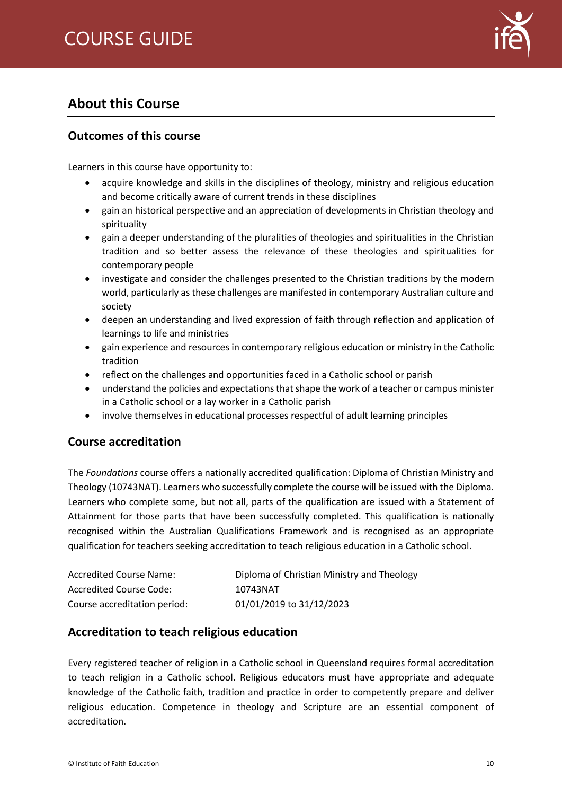

## <span id="page-9-0"></span>**About this Course**

## <span id="page-9-1"></span>**Outcomes of this course**

Learners in this course have opportunity to:

- acquire knowledge and skills in the disciplines of theology, ministry and religious education and become critically aware of current trends in these disciplines
- gain an historical perspective and an appreciation of developments in Christian theology and spirituality
- gain a deeper understanding of the pluralities of theologies and spiritualities in the Christian tradition and so better assess the relevance of these theologies and spiritualities for contemporary people
- investigate and consider the challenges presented to the Christian traditions by the modern world, particularly as these challenges are manifested in contemporary Australian culture and society
- deepen an understanding and lived expression of faith through reflection and application of learnings to life and ministries
- gain experience and resources in contemporary religious education or ministry in the Catholic tradition
- reflect on the challenges and opportunities faced in a Catholic school or parish
- understand the policies and expectations that shape the work of a teacher or campus minister in a Catholic school or a lay worker in a Catholic parish
- involve themselves in educational processes respectful of adult learning principles

## <span id="page-9-2"></span>**Course accreditation**

The *Foundations* course offers a nationally accredited qualification: Diploma of Christian Ministry and Theology (10743NAT). Learners who successfully complete the course will be issued with the Diploma. Learners who complete some, but not all, parts of the qualification are issued with a Statement of Attainment for those parts that have been successfully completed. This qualification is nationally recognised within the Australian Qualifications Framework and is recognised as an appropriate qualification for teachers seeking accreditation to teach religious education in a Catholic school.

| <b>Accredited Course Name:</b> | Diploma of Christian Ministry and Theology |
|--------------------------------|--------------------------------------------|
| Accredited Course Code:        | 10743NAT                                   |
| Course accreditation period:   | 01/01/2019 to 31/12/2023                   |

## <span id="page-9-3"></span>**Accreditation to teach religious education**

Every registered teacher of religion in a Catholic school in Queensland requires formal accreditation to teach religion in a Catholic school. Religious educators must have appropriate and adequate knowledge of the Catholic faith, tradition and practice in order to competently prepare and deliver religious education. Competence in theology and Scripture are an essential component of accreditation.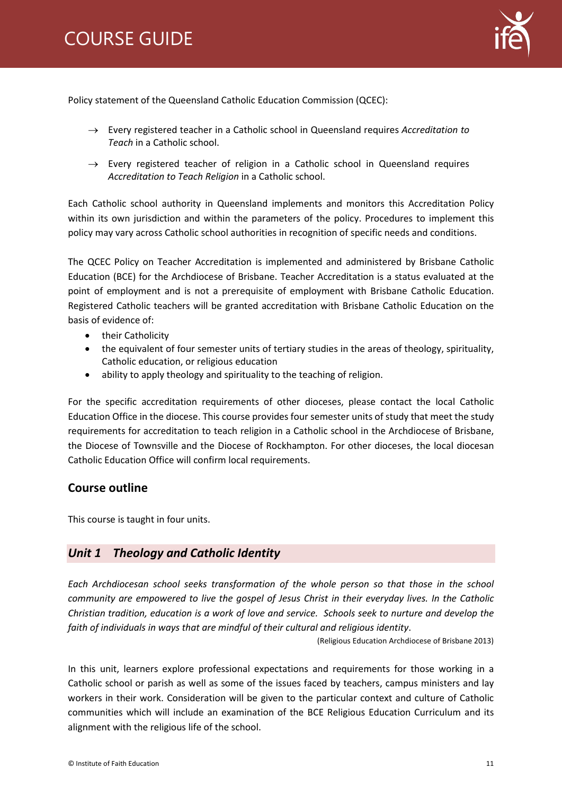

Policy statement of the Queensland Catholic Education Commission (QCEC):

- → Every registered teacher in a Catholic school in Queensland requires *Accreditation to Teach* in a Catholic school.
- $\rightarrow$  Every registered teacher of religion in a Catholic school in Queensland requires *Accreditation to Teach Religion* in a Catholic school.

Each Catholic school authority in Queensland implements and monitors this Accreditation Policy within its own jurisdiction and within the parameters of the policy. Procedures to implement this policy may vary across Catholic school authorities in recognition of specific needs and conditions.

The QCEC Policy on Teacher Accreditation is implemented and administered by Brisbane Catholic Education (BCE) for the Archdiocese of Brisbane. Teacher Accreditation is a status evaluated at the point of employment and is not a prerequisite of employment with Brisbane Catholic Education. Registered Catholic teachers will be granted accreditation with Brisbane Catholic Education on the basis of evidence of:

- their Catholicity
- the equivalent of four semester units of tertiary studies in the areas of theology, spirituality, Catholic education, or religious education
- ability to apply theology and spirituality to the teaching of religion.

For the specific accreditation requirements of other dioceses, please contact the local Catholic Education Office in the diocese. This course provides four semester units of study that meet the study requirements for accreditation to teach religion in a Catholic school in the Archdiocese of Brisbane, the Diocese of Townsville and the Diocese of Rockhampton. For other dioceses, the local diocesan Catholic Education Office will confirm local requirements.

## <span id="page-10-0"></span>**Course outline**

<span id="page-10-1"></span>This course is taught in four units.

## *Unit 1 Theology and Catholic Identity*

*Each Archdiocesan school seeks transformation of the whole person so that those in the school community are empowered to live the gospel of Jesus Christ in their everyday lives. In the Catholic Christian tradition, education is a work of love and service. Schools seek to nurture and develop the faith of individuals in ways that are mindful of their cultural and religious identity*.

(Religious Education Archdiocese of Brisbane 2013)

In this unit, learners explore professional expectations and requirements for those working in a Catholic school or parish as well as some of the issues faced by teachers, campus ministers and lay workers in their work. Consideration will be given to the particular context and culture of Catholic communities which will include an examination of the BCE Religious Education Curriculum and its alignment with the religious life of the school.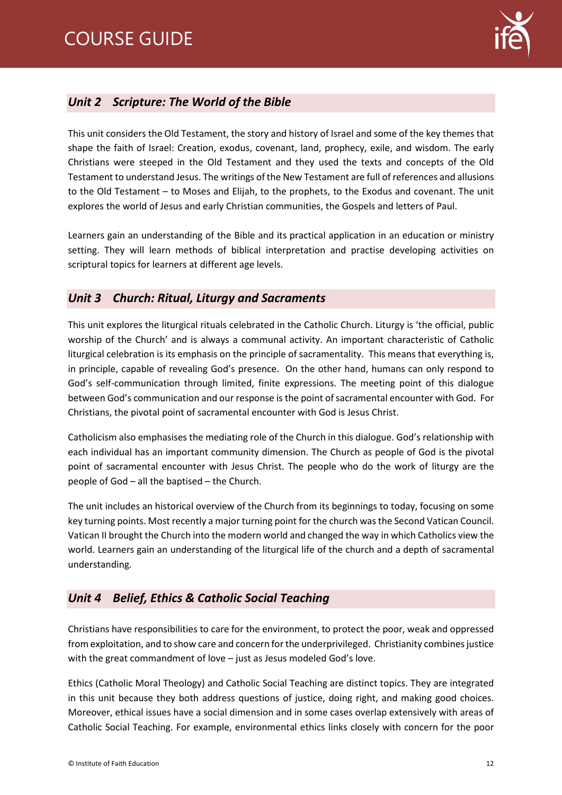

## <span id="page-11-0"></span>*Unit 2 Scripture: The World of the Bible*

This unit considers the Old Testament, the story and history of Israel and some of the key themes that shape the faith of Israel: Creation, exodus, covenant, land, prophecy, exile, and wisdom. The early Christians were steeped in the Old Testament and they used the texts and concepts of the Old Testament to understand Jesus. The writings of the New Testament are full of references and allusions to the Old Testament – to Moses and Elijah, to the prophets, to the Exodus and covenant. The unit explores the world of Jesus and early Christian communities, the Gospels and letters of Paul.

Learners gain an understanding of the Bible and its practical application in an education or ministry setting. They will learn methods of biblical interpretation and practise developing activities on scriptural topics for learners at different age levels.

## <span id="page-11-1"></span>*Unit 3 Church: Ritual, Liturgy and Sacraments*

This unit explores the liturgical rituals celebrated in the Catholic Church. Liturgy is 'the official, public worship of the Church' and is always a communal activity. An important characteristic of Catholic liturgical celebration is its emphasis on the principle of sacramentality. This means that everything is, in principle, capable of revealing God's presence. On the other hand, humans can only respond to God's self-communication through limited, finite expressions. The meeting point of this dialogue between God's communication and our response is the point of sacramental encounter with God. For Christians, the pivotal point of sacramental encounter with God is Jesus Christ.

Catholicism also emphasises the mediating role of the Church in this dialogue. God's relationship with each individual has an important community dimension. The Church as people of God is the pivotal point of sacramental encounter with Jesus Christ. The people who do the work of liturgy are the people of God – all the baptised – the Church.

The unit includes an historical overview of the Church from its beginnings to today, focusing on some key turning points. Most recently a major turning point for the church was the Second Vatican Council. Vatican II brought the Church into the modern world and changed the way in which Catholics view the world. Learners gain an understanding of the liturgical life of the church and a depth of sacramental understanding.

## <span id="page-11-2"></span>*Unit 4 Belief, Ethics & Catholic Social Teaching*

Christians have responsibilities to care for the environment, to protect the poor, weak and oppressed from exploitation, and to show care and concern for the underprivileged. Christianity combines justice with the great commandment of love – just as Jesus modeled God's love.

Ethics (Catholic Moral Theology) and Catholic Social Teaching are distinct topics. They are integrated in this unit because they both address questions of justice, doing right, and making good choices. Moreover, ethical issues have a social dimension and in some cases overlap extensively with areas of Catholic Social Teaching. For example, environmental ethics links closely with concern for the poor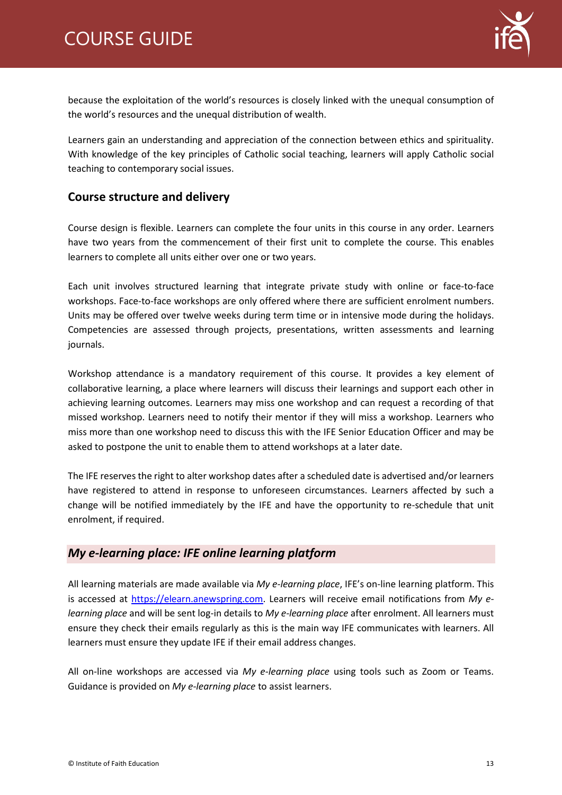

because the exploitation of the world's resources is closely linked with the unequal consumption of the world's resources and the unequal distribution of wealth.

Learners gain an understanding and appreciation of the connection between ethics and spirituality. With knowledge of the key principles of Catholic social teaching, learners will apply Catholic social teaching to contemporary social issues.

## <span id="page-12-0"></span>**Course structure and delivery**

Course design is flexible. Learners can complete the four units in this course in any order. Learners have two years from the commencement of their first unit to complete the course. This enables learners to complete all units either over one or two years.

Each unit involves structured learning that integrate private study with online or face-to-face workshops. Face-to-face workshops are only offered where there are sufficient enrolment numbers. Units may be offered over twelve weeks during term time or in intensive mode during the holidays. Competencies are assessed through projects, presentations, written assessments and learning journals.

Workshop attendance is a mandatory requirement of this course. It provides a key element of collaborative learning, a place where learners will discuss their learnings and support each other in achieving learning outcomes. Learners may miss one workshop and can request a recording of that missed workshop. Learners need to notify their mentor if they will miss a workshop. Learners who miss more than one workshop need to discuss this with the IFE Senior Education Officer and may be asked to postpone the unit to enable them to attend workshops at a later date.

The IFE reserves the right to alter workshop dates after a scheduled date is advertised and/or learners have registered to attend in response to unforeseen circumstances. Learners affected by such a change will be notified immediately by the IFE and have the opportunity to re-schedule that unit enrolment, if required.

## <span id="page-12-1"></span>*My e-learning place: IFE online learning platform*

All learning materials are made available via *My e-learning place*, IFE's on-line learning platform. This is accessed at [https://elearn.anewspring.com.](https://elearn.anewspring.com/) Learners will receive email notifications from *My elearning place* and will be sent log-in details to *My e-learning place* after enrolment. All learners must ensure they check their emails regularly as this is the main way IFE communicates with learners. All learners must ensure they update IFE if their email address changes.

All on-line workshops are accessed via *My e-learning place* using tools such as Zoom or Teams. Guidance is provided on *My e-learning place* to assist learners.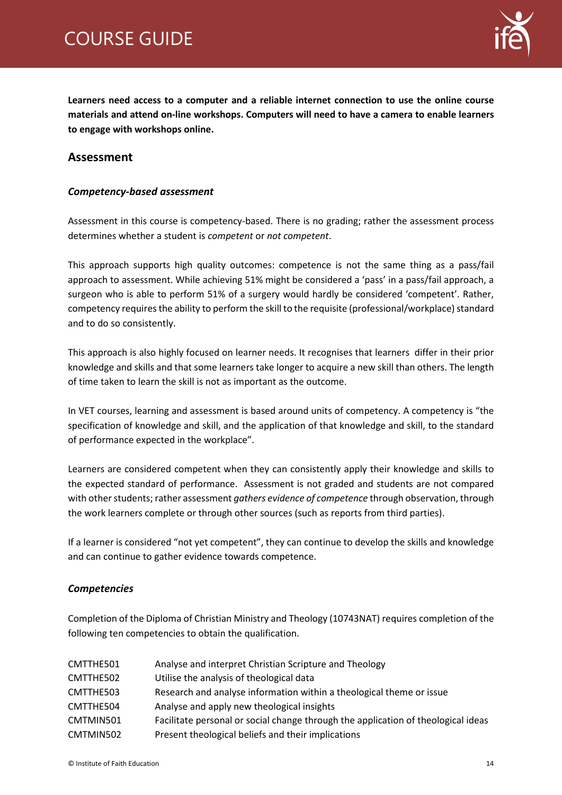

**Learners need access to a computer and a reliable internet connection to use the online course materials and attend on-line workshops. Computers will need to have a camera to enable learners to engage with workshops online.**

## <span id="page-13-1"></span><span id="page-13-0"></span>**Assessment**

#### *Competency-based assessment*

Assessment in this course is competency-based. There is no grading; rather the assessment process determines whether a student is *competent* or *not competent*.

This approach supports high quality outcomes: competence is not the same thing as a pass/fail approach to assessment. While achieving 51% might be considered a 'pass' in a pass/fail approach, a surgeon who is able to perform 51% of a surgery would hardly be considered 'competent'. Rather, competency requires the ability to perform the skill to the requisite (professional/workplace) standard and to do so consistently.

This approach is also highly focused on learner needs. It recognises that learners differ in their prior knowledge and skills and that some learners take longer to acquire a new skill than others. The length of time taken to learn the skill is not as important as the outcome.

In VET courses, learning and assessment is based around units of competency. A competency is "the specification of knowledge and skill, and the application of that knowledge and skill, to the standard of performance expected in the workplace".

Learners are considered competent when they can consistently apply their knowledge and skills to the expected standard of performance. Assessment is not graded and students are not compared with other students; rather assessment *gathers evidence of competence* through observation, through the work learners complete or through other sources (such as reports from third parties).

If a learner is considered "not yet competent", they can continue to develop the skills and knowledge and can continue to gather evidence towards competence.

#### <span id="page-13-2"></span>*Competencies*

Completion of the Diploma of Christian Ministry and Theology (10743NAT) requires completion of the following ten competencies to obtain the qualification.

| CMTTHE501 | Analyse and interpret Christian Scripture and Theology                            |
|-----------|-----------------------------------------------------------------------------------|
| CMTTHE502 | Utilise the analysis of theological data                                          |
| CMTTHE503 | Research and analyse information within a theological theme or issue              |
| CMTTHE504 | Analyse and apply new theological insights                                        |
| CMTMIN501 | Facilitate personal or social change through the application of theological ideas |
| CMTMIN502 | Present theological beliefs and their implications                                |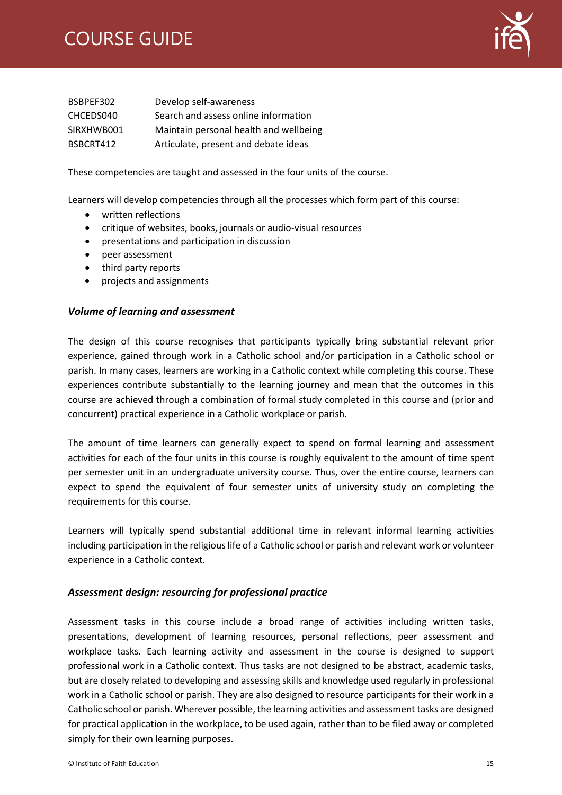

| BSBPEF302  | Develop self-awareness                 |
|------------|----------------------------------------|
| CHCEDS040  | Search and assess online information   |
| SIRXHWB001 | Maintain personal health and wellbeing |
| BSBCRT412  | Articulate, present and debate ideas   |

These competencies are taught and assessed in the four units of the course.

Learners will develop competencies through all the processes which form part of this course:

- written reflections
- critique of websites, books, journals or audio-visual resources
- presentations and participation in discussion
- peer assessment
- third party reports
- projects and assignments

#### <span id="page-14-0"></span>*Volume of learning and assessment*

The design of this course recognises that participants typically bring substantial relevant prior experience, gained through work in a Catholic school and/or participation in a Catholic school or parish. In many cases, learners are working in a Catholic context while completing this course. These experiences contribute substantially to the learning journey and mean that the outcomes in this course are achieved through a combination of formal study completed in this course and (prior and concurrent) practical experience in a Catholic workplace or parish.

The amount of time learners can generally expect to spend on formal learning and assessment activities for each of the four units in this course is roughly equivalent to the amount of time spent per semester unit in an undergraduate university course. Thus, over the entire course, learners can expect to spend the equivalent of four semester units of university study on completing the requirements for this course.

Learners will typically spend substantial additional time in relevant informal learning activities including participation in the religious life of a Catholic school or parish and relevant work or volunteer experience in a Catholic context.

#### <span id="page-14-1"></span>*Assessment design: resourcing for professional practice*

Assessment tasks in this course include a broad range of activities including written tasks, presentations, development of learning resources, personal reflections, peer assessment and workplace tasks. Each learning activity and assessment in the course is designed to support professional work in a Catholic context. Thus tasks are not designed to be abstract, academic tasks, but are closely related to developing and assessing skills and knowledge used regularly in professional work in a Catholic school or parish. They are also designed to resource participants for their work in a Catholic school or parish. Wherever possible, the learning activities and assessment tasks are designed for practical application in the workplace, to be used again, rather than to be filed away or completed simply for their own learning purposes.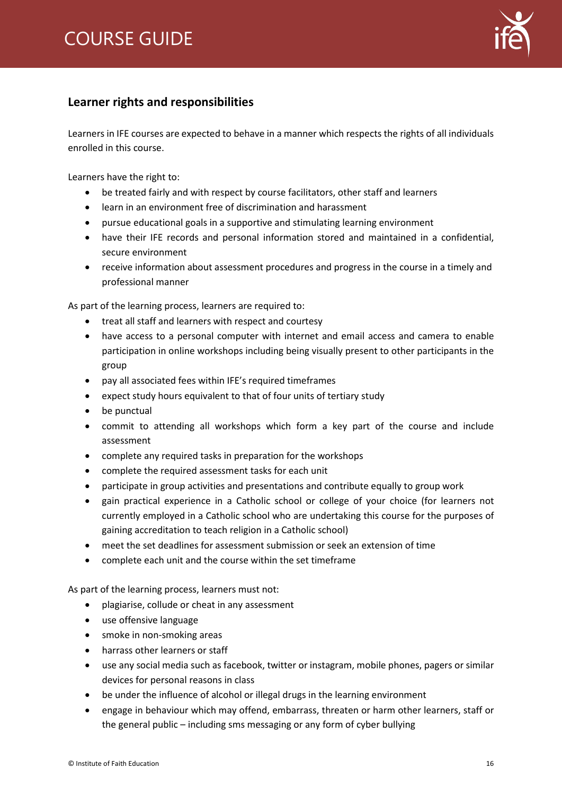

## <span id="page-15-0"></span>**Learner rights and responsibilities**

Learners in IFE courses are expected to behave in a manner which respects the rights of all individuals enrolled in this course.

Learners have the right to:

- be treated fairly and with respect by course facilitators, other staff and learners
- learn in an environment free of discrimination and harassment
- pursue educational goals in a supportive and stimulating learning environment
- have their IFE records and personal information stored and maintained in a confidential, secure environment
- receive information about assessment procedures and progress in the course in a timely and professional manner

As part of the learning process, learners are required to:

- treat all staff and learners with respect and courtesy
- have access to a personal computer with internet and email access and camera to enable participation in online workshops including being visually present to other participants in the group
- pay all associated fees within IFE's required timeframes
- expect study hours equivalent to that of four units of tertiary study
- be punctual
- commit to attending all workshops which form a key part of the course and include assessment
- complete any required tasks in preparation for the workshops
- complete the required assessment tasks for each unit
- participate in group activities and presentations and contribute equally to group work
- gain practical experience in a Catholic school or college of your choice (for learners not currently employed in a Catholic school who are undertaking this course for the purposes of gaining accreditation to teach religion in a Catholic school)
- meet the set deadlines for assessment submission or seek an extension of time
- complete each unit and the course within the set timeframe

As part of the learning process, learners must not:

- plagiarise, collude or cheat in any assessment
- use offensive language
- smoke in non-smoking areas
- harrass other learners or staff
- use any social media such as facebook, twitter or instagram, mobile phones, pagers or similar devices for personal reasons in class
- be under the influence of alcohol or illegal drugs in the learning environment
- engage in behaviour which may offend, embarrass, threaten or harm other learners, staff or the general public – including sms messaging or any form of cyber bullying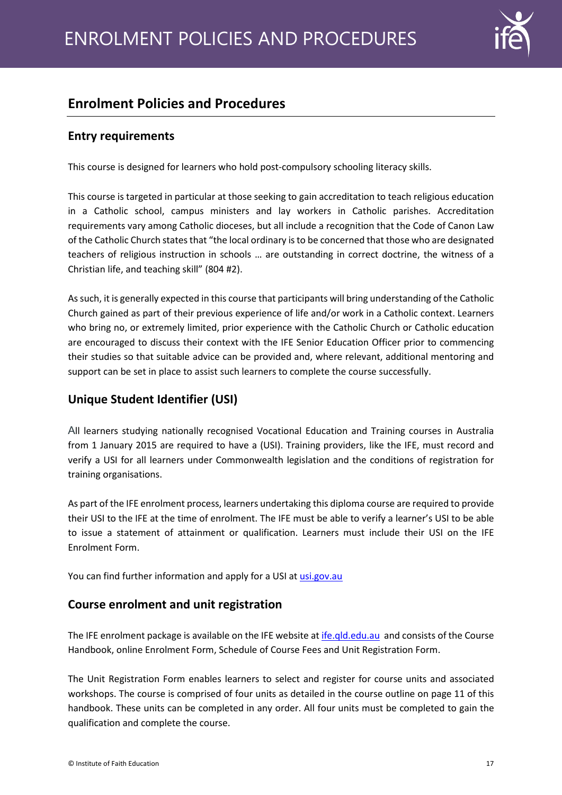

## <span id="page-16-0"></span>**Enrolment Policies and Procedures**

## <span id="page-16-1"></span>**Entry requirements**

This course is designed for learners who hold post-compulsory schooling literacy skills.

This course is targeted in particular at those seeking to gain accreditation to teach religious education in a Catholic school, campus ministers and lay workers in Catholic parishes. Accreditation requirements vary among Catholic dioceses, but all include a recognition that the Code of Canon Law of the Catholic Church states that "the local ordinary is to be concerned that those who are designated teachers of religious instruction in schools … are outstanding in correct doctrine, the witness of a Christian life, and teaching skill" (804 #2).

As such, it is generally expected in this course that participants will bring understanding of the Catholic Church gained as part of their previous experience of life and/or work in a Catholic context. Learners who bring no, or extremely limited, prior experience with the Catholic Church or Catholic education are encouraged to discuss their context with the IFE Senior Education Officer prior to commencing their studies so that suitable advice can be provided and, where relevant, additional mentoring and support can be set in place to assist such learners to complete the course successfully.

## <span id="page-16-2"></span>**Unique Student Identifier (USI)**

All learners studying nationally recognised Vocational Education and Training courses in Australia from 1 January 2015 are required to have a (USI). Training providers, like the IFE, must record and verify a USI for all learners under Commonwealth legislation and the conditions of registration for training organisations.

As part of the IFE enrolment process, learners undertaking this diploma course are required to provide their USI to the IFE at the time of enrolment. The IFE must be able to verify a learner's USI to be able to issue a statement of attainment or qualification. Learners must include their USI on the IFE Enrolment Form.

<span id="page-16-3"></span>You can find further information and apply for a USI a[t usi.gov.au](https://www.usi.gov.au/)

## **Course enrolment and unit registration**

The IFE enrolment package is available on the IFE website a[t ife.qld.edu.au](http://ife.qld.edu.au/) and consists of the Course Handbook, online Enrolment Form, Schedule of Course Fees and Unit Registration Form.

The Unit Registration Form enables learners to select and register for course units and associated workshops. The course is comprised of four units as detailed in the course outline on page [11](#page-10-0) of this handbook. These units can be completed in any order. All four units must be completed to gain the qualification and complete the course.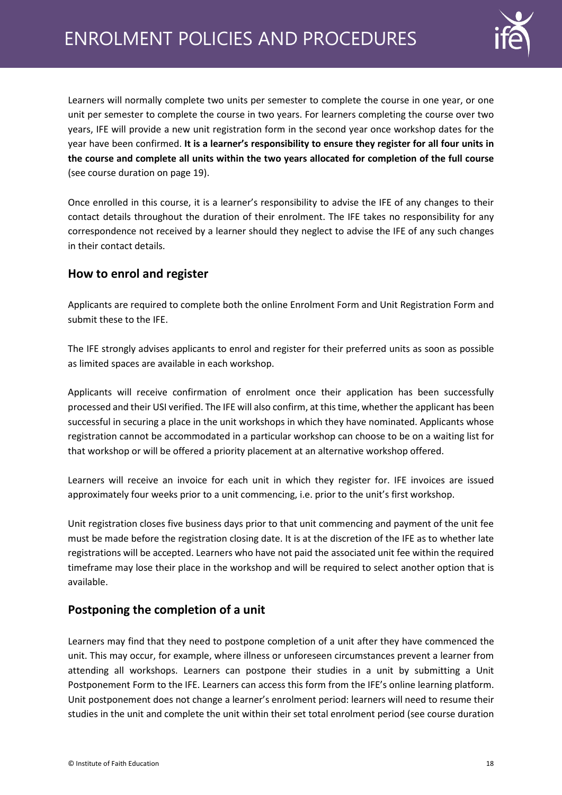

Learners will normally complete two units per semester to complete the course in one year, or one unit per semester to complete the course in two years. For learners completing the course over two years, IFE will provide a new unit registration form in the second year once workshop dates for the year have been confirmed. **It is a learner's responsibility to ensure they register for all four units in the course and complete all units within the two years allocated for completion of the full course** (see course duration on pag[e 19\)](#page-18-1).

Once enrolled in this course, it is a learner's responsibility to advise the IFE of any changes to their contact details throughout the duration of their enrolment. The IFE takes no responsibility for any correspondence not received by a learner should they neglect to advise the IFE of any such changes in their contact details.

## <span id="page-17-0"></span>**How to enrol and register**

Applicants are required to complete both the online Enrolment Form and Unit Registration Form and submit these to the IFE.

The IFE strongly advises applicants to enrol and register for their preferred units as soon as possible as limited spaces are available in each workshop.

Applicants will receive confirmation of enrolment once their application has been successfully processed and their USI verified. The IFE will also confirm, at this time, whether the applicant has been successful in securing a place in the unit workshops in which they have nominated. Applicants whose registration cannot be accommodated in a particular workshop can choose to be on a waiting list for that workshop or will be offered a priority placement at an alternative workshop offered.

Learners will receive an invoice for each unit in which they register for. IFE invoices are issued approximately four weeks prior to a unit commencing, i.e. prior to the unit's first workshop.

Unit registration closes five business days prior to that unit commencing and payment of the unit fee must be made before the registration closing date. It is at the discretion of the IFE as to whether late registrations will be accepted. Learners who have not paid the associated unit fee within the required timeframe may lose their place in the workshop and will be required to select another option that is available.

## <span id="page-17-1"></span>**Postponing the completion of a unit**

Learners may find that they need to postpone completion of a unit after they have commenced the unit. This may occur, for example, where illness or unforeseen circumstances prevent a learner from attending all workshops. Learners can postpone their studies in a unit by submitting a Unit Postponement Form to the IFE. Learners can access this form from the IFE's online learning platform. Unit postponement does not change a learner's enrolment period: learners will need to resume their studies in the unit and complete the unit within their set total enrolment period (see course duration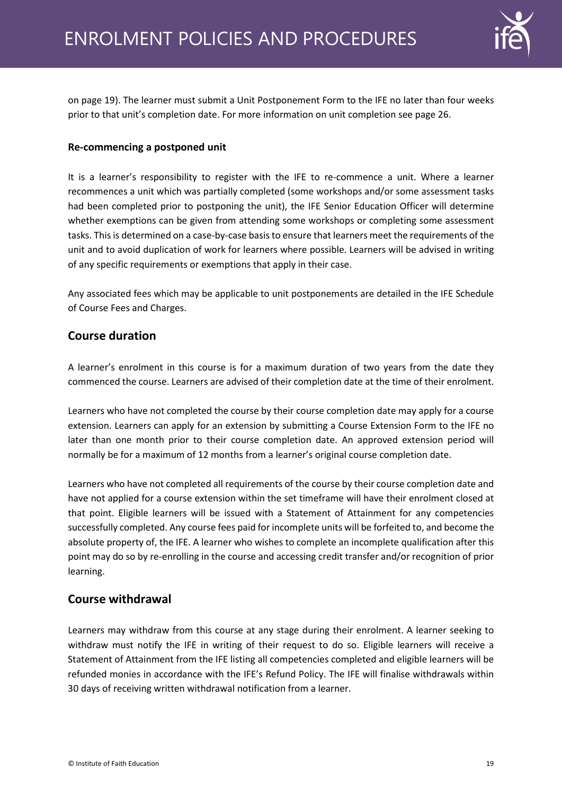

on page [19\)](#page-18-1). The learner must submit a Unit Postponement Form to the IFE no later than four weeks prior to that unit's completion date. For more information on unit completion see page [26.](#page-25-0)

#### <span id="page-18-0"></span>**Re-commencing a postponed unit**

It is a learner's responsibility to register with the IFE to re-commence a unit. Where a learner recommences a unit which was partially completed (some workshops and/or some assessment tasks had been completed prior to postponing the unit), the IFE Senior Education Officer will determine whether exemptions can be given from attending some workshops or completing some assessment tasks. This is determined on a case-by-case basis to ensure that learners meet the requirements of the unit and to avoid duplication of work for learners where possible. Learners will be advised in writing of any specific requirements or exemptions that apply in their case.

Any associated fees which may be applicable to unit postponements are detailed in the IFE Schedule of Course Fees and Charges.

## <span id="page-18-1"></span>**Course duration**

A learner's enrolment in this course is for a maximum duration of two years from the date they commenced the course. Learners are advised of their completion date at the time of their enrolment.

Learners who have not completed the course by their course completion date may apply for a course extension. Learners can apply for an extension by submitting a Course Extension Form to the IFE no later than one month prior to their course completion date. An approved extension period will normally be for a maximum of 12 months from a learner's original course completion date.

Learners who have not completed all requirements of the course by their course completion date and have not applied for a course extension within the set timeframe will have their enrolment closed at that point. Eligible learners will be issued with a Statement of Attainment for any competencies successfully completed. Any course fees paid for incomplete units will be forfeited to, and become the absolute property of, the IFE. A learner who wishes to complete an incomplete qualification after this point may do so by re-enrolling in the course and accessing credit transfer and/or recognition of prior learning.

## <span id="page-18-2"></span>**Course withdrawal**

Learners may withdraw from this course at any stage during their enrolment. A learner seeking to withdraw must notify the IFE in writing of their request to do so. Eligible learners will receive a Statement of Attainment from the IFE listing all competencies completed and eligible learners will be refunded monies in accordance with the IFE's Refund Policy. The IFE will finalise withdrawals within 30 days of receiving written withdrawal notification from a learner.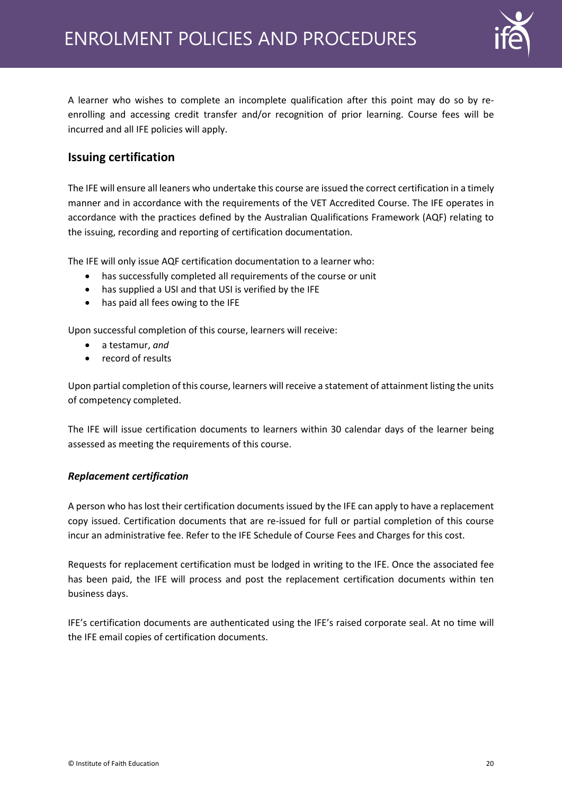

A learner who wishes to complete an incomplete qualification after this point may do so by reenrolling and accessing credit transfer and/or recognition of prior learning. Course fees will be incurred and all IFE policies will apply.

## <span id="page-19-0"></span>**Issuing certification**

The IFE will ensure all leaners who undertake this course are issued the correct certification in a timely manner and in accordance with the requirements of the VET Accredited Course. The IFE operates in accordance with the practices defined by the Australian Qualifications Framework (AQF) relating to the issuing, recording and reporting of certification documentation.

The IFE will only issue AQF certification documentation to a learner who:

- has successfully completed all requirements of the course or unit
- has supplied a USI and that USI is verified by the IFE
- has paid all fees owing to the IFE

Upon successful completion of this course, learners will receive:

- a testamur, *and*
- record of results

Upon partial completion of this course, learners will receive a statement of attainment listing the units of competency completed.

The IFE will issue certification documents to learners within 30 calendar days of the learner being assessed as meeting the requirements of this course.

#### <span id="page-19-1"></span>*Replacement certification*

A person who has lost their certification documents issued by the IFE can apply to have a replacement copy issued. Certification documents that are re-issued for full or partial completion of this course incur an administrative fee. Refer to the IFE Schedule of Course Fees and Charges for this cost.

Requests for replacement certification must be lodged in writing to the IFE. Once the associated fee has been paid, the IFE will process and post the replacement certification documents within ten business days.

IFE's certification documents are authenticated using the IFE's raised corporate seal. At no time will the IFE email copies of certification documents.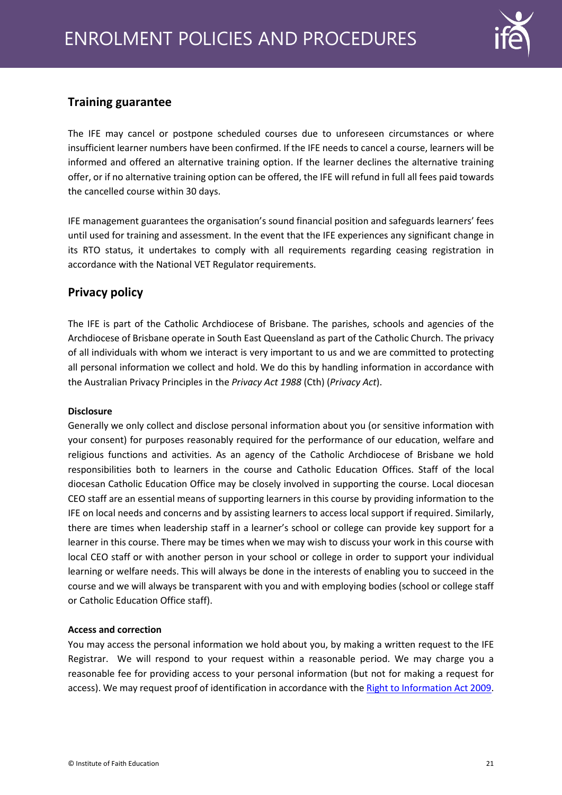

## <span id="page-20-0"></span>**Training guarantee**

The IFE may cancel or postpone scheduled courses due to unforeseen circumstances or where insufficient learner numbers have been confirmed. If the IFE needs to cancel a course, learners will be informed and offered an alternative training option. If the learner declines the alternative training offer, or if no alternative training option can be offered, the IFE will refund in full all fees paid towards the cancelled course within 30 days.

IFE management guarantees the organisation's sound financial position and safeguards learners' fees until used for training and assessment. In the event that the IFE experiences any significant change in its RTO status, it undertakes to comply with all requirements regarding ceasing registration in accordance with the National VET Regulator requirements.

## <span id="page-20-1"></span>**Privacy policy**

The IFE is part of the Catholic Archdiocese of Brisbane. The parishes, schools and agencies of the Archdiocese of Brisbane operate in South East Queensland as part of the Catholic Church. The privacy of all individuals with whom we interact is very important to us and we are committed to protecting all personal information we collect and hold. We do this by handling information in accordance with the Australian Privacy Principles in the *Privacy Act 1988* (Cth) (*Privacy Act*).

#### **Disclosure**

Generally we only collect and disclose personal information about you (or sensitive information with your consent) for purposes reasonably required for the performance of our education, welfare and religious functions and activities. As an agency of the Catholic Archdiocese of Brisbane we hold responsibilities both to learners in the course and Catholic Education Offices. Staff of the local diocesan Catholic Education Office may be closely involved in supporting the course. Local diocesan CEO staff are an essential means of supporting learners in this course by providing information to the IFE on local needs and concerns and by assisting learners to access local support if required. Similarly, there are times when leadership staff in a learner's school or college can provide key support for a learner in this course. There may be times when we may wish to discuss your work in this course with local CEO staff or with another person in your school or college in order to support your individual learning or welfare needs. This will always be done in the interests of enabling you to succeed in the course and we will always be transparent with you and with employing bodies (school or college staff or Catholic Education Office staff).

#### **Access and correction**

You may access the personal information we hold about you, by making a written request to the IFE Registrar. We will respond to your request within a reasonable period. We may charge you a reasonable fee for providing access to your personal information (but not for making a request for access). We may request proof of identification in accordance with th[e Right to Information Act 2009.](http://www.legislation.qld.gov.au/Search/isysquery/10af2bb7-15f0-48a0-a665-76e22250b114/1/doc/RightInfoA09.pdf#xml=http://www.legislation.qld.gov.au/Search/isysquery/10af2bb7-15f0-48a0-a665-76e22250b114/1/hilite/)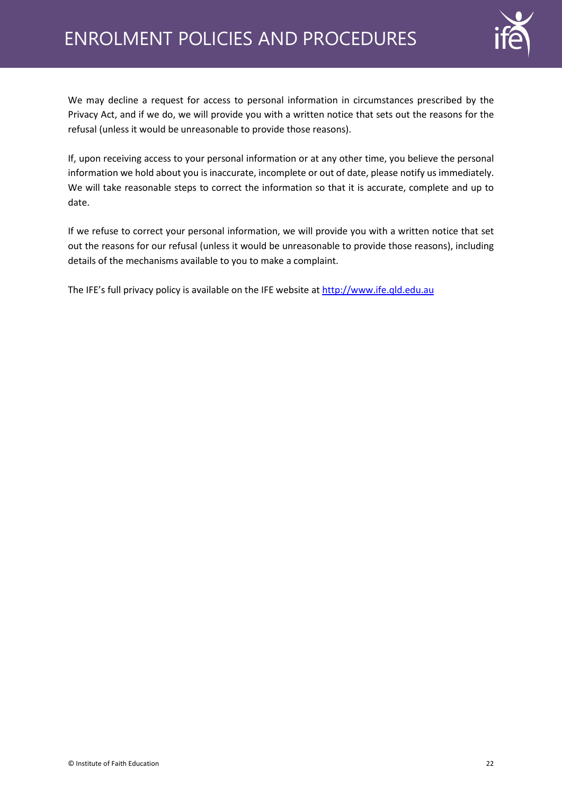

We may decline a request for access to personal information in circumstances prescribed by the Privacy Act, and if we do, we will provide you with a written notice that sets out the reasons for the refusal (unless it would be unreasonable to provide those reasons).

If, upon receiving access to your personal information or at any other time, you believe the personal information we hold about you is inaccurate, incomplete or out of date, please notify us immediately. We will take reasonable steps to correct the information so that it is accurate, complete and up to date.

If we refuse to correct your personal information, we will provide you with a written notice that set out the reasons for our refusal (unless it would be unreasonable to provide those reasons), including details of the mechanisms available to you to make a complaint.

The IFE's full privacy policy is available on the IFE website a[t http://www.ife.qld.edu.au](http://www.ife.qld.edu.au/)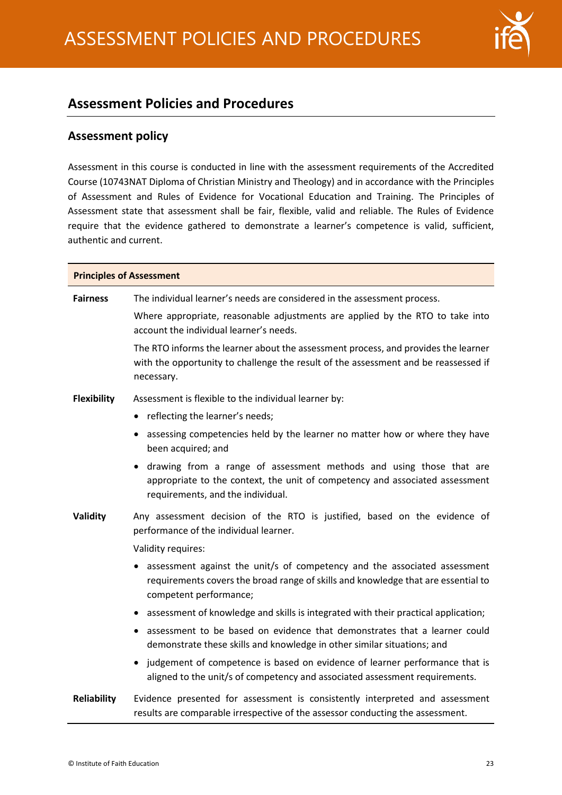

## <span id="page-22-0"></span>**Assessment Policies and Procedures**

## <span id="page-22-1"></span>**Assessment policy**

Assessment in this course is conducted in line with the assessment requirements of the Accredited Course (10743NAT Diploma of Christian Ministry and Theology) and in accordance with the Principles of Assessment and Rules of Evidence for Vocational Education and Training. The Principles of Assessment state that assessment shall be fair, flexible, valid and reliable. The Rules of Evidence require that the evidence gathered to demonstrate a learner's competence is valid, sufficient, authentic and current.

| <b>Principles of Assessment</b> |                                                                                                                                                                                                       |
|---------------------------------|-------------------------------------------------------------------------------------------------------------------------------------------------------------------------------------------------------|
| <b>Fairness</b>                 | The individual learner's needs are considered in the assessment process.<br>Where appropriate, reasonable adjustments are applied by the RTO to take into<br>account the individual learner's needs.  |
|                                 | The RTO informs the learner about the assessment process, and provides the learner<br>with the opportunity to challenge the result of the assessment and be reassessed if<br>necessary.               |
| <b>Flexibility</b>              | Assessment is flexible to the individual learner by:                                                                                                                                                  |
|                                 | • reflecting the learner's needs;                                                                                                                                                                     |
|                                 | • assessing competencies held by the learner no matter how or where they have<br>been acquired; and                                                                                                   |
|                                 | drawing from a range of assessment methods and using those that are<br>$\bullet$<br>appropriate to the context, the unit of competency and associated assessment<br>requirements, and the individual. |
| Validity                        | Any assessment decision of the RTO is justified, based on the evidence of<br>performance of the individual learner.                                                                                   |
|                                 | Validity requires:                                                                                                                                                                                    |
|                                 | • assessment against the unit/s of competency and the associated assessment<br>requirements covers the broad range of skills and knowledge that are essential to<br>competent performance;            |
|                                 | • assessment of knowledge and skills is integrated with their practical application;                                                                                                                  |
|                                 | • assessment to be based on evidence that demonstrates that a learner could<br>demonstrate these skills and knowledge in other similar situations; and                                                |
|                                 | • judgement of competence is based on evidence of learner performance that is<br>aligned to the unit/s of competency and associated assessment requirements.                                          |
| <b>Reliability</b>              | Evidence presented for assessment is consistently interpreted and assessment<br>results are comparable irrespective of the assessor conducting the assessment.                                        |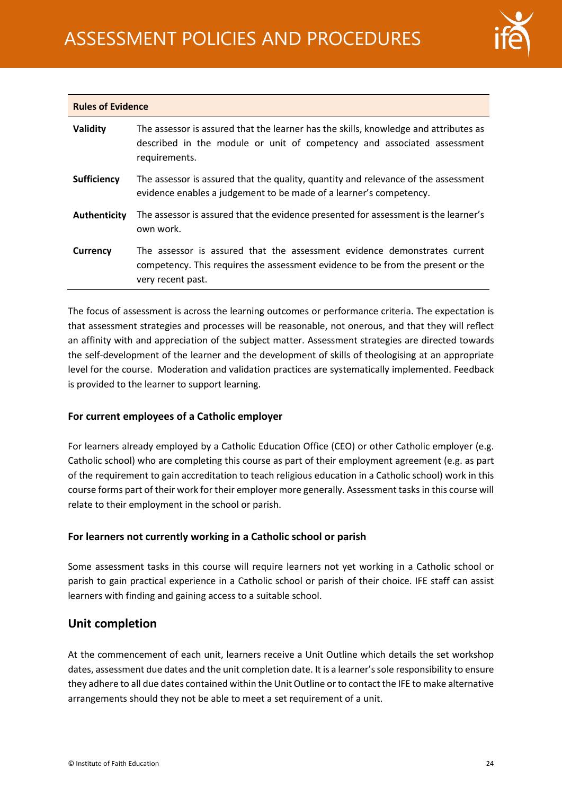

| <b>Rules of Evidence</b> |                                                                                                                                                                                   |
|--------------------------|-----------------------------------------------------------------------------------------------------------------------------------------------------------------------------------|
| Validity                 | The assessor is assured that the learner has the skills, knowledge and attributes as<br>described in the module or unit of competency and associated assessment<br>requirements.  |
| <b>Sufficiency</b>       | The assessor is assured that the quality, quantity and relevance of the assessment<br>evidence enables a judgement to be made of a learner's competency.                          |
| <b>Authenticity</b>      | The assessor is assured that the evidence presented for assessment is the learner's<br>own work.                                                                                  |
| <b>Currency</b>          | The assessor is assured that the assessment evidence demonstrates current<br>competency. This requires the assessment evidence to be from the present or the<br>very recent past. |

The focus of assessment is across the learning outcomes or performance criteria. The expectation is that assessment strategies and processes will be reasonable, not onerous, and that they will reflect an affinity with and appreciation of the subject matter. Assessment strategies are directed towards the self-development of the learner and the development of skills of theologising at an appropriate level for the course. Moderation and validation practices are systematically implemented. Feedback is provided to the learner to support learning.

#### <span id="page-23-0"></span>**For current employees of a Catholic employer**

For learners already employed by a Catholic Education Office (CEO) or other Catholic employer (e.g. Catholic school) who are completing this course as part of their employment agreement (e.g. as part of the requirement to gain accreditation to teach religious education in a Catholic school) work in this course forms part of their work for their employer more generally. Assessment tasks in this course will relate to their employment in the school or parish.

## <span id="page-23-1"></span>**For learners not currently working in a Catholic school or parish**

Some assessment tasks in this course will require learners not yet working in a Catholic school or parish to gain practical experience in a Catholic school or parish of their choice. IFE staff can assist learners with finding and gaining access to a suitable school.

## <span id="page-23-2"></span>**Unit completion**

At the commencement of each unit, learners receive a Unit Outline which details the set workshop dates, assessment due dates and the unit completion date. It is a learner's sole responsibility to ensure they adhere to all due dates contained within the Unit Outline or to contact the IFE to make alternative arrangements should they not be able to meet a set requirement of a unit.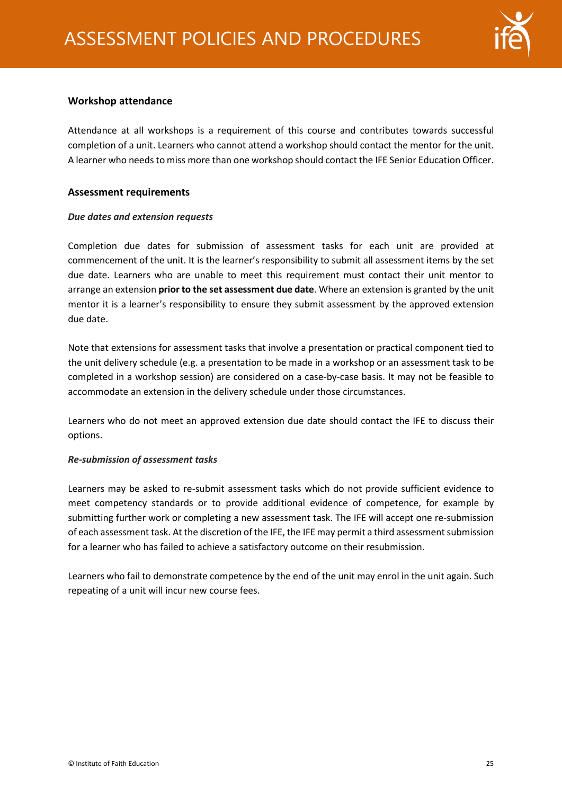

#### <span id="page-24-4"></span><span id="page-24-0"></span>**Workshop attendance**

Attendance at all workshops is a requirement of this course and contributes towards successful completion of a unit. Learners who cannot attend a workshop should contact the mentor for the unit. A learner who needs to miss more than one workshop should contact the IFE Senior Education Officer.

#### <span id="page-24-1"></span>**Assessment requirements**

#### <span id="page-24-2"></span>*Due dates and extension requests*

Completion due dates for submission of assessment tasks for each unit are provided at commencement of the unit. It is the learner's responsibility to submit all assessment items by the set due date. Learners who are unable to meet this requirement must contact their unit mentor to arrange an extension **prior to the set assessment due date**. Where an extension is granted by the unit mentor it is a learner's responsibility to ensure they submit assessment by the approved extension due date.

Note that extensions for assessment tasks that involve a presentation or practical component tied to the unit delivery schedule (e.g. a presentation to be made in a workshop or an assessment task to be completed in a workshop session) are considered on a case-by-case basis. It may not be feasible to accommodate an extension in the delivery schedule under those circumstances.

Learners who do not meet an approved extension due date should contact the IFE to discuss their options.

#### <span id="page-24-3"></span>*Re-submission of assessment tasks*

Learners may be asked to re-submit assessment tasks which do not provide sufficient evidence to meet competency standards or to provide additional evidence of competence, for example by submitting further work or completing a new assessment task. The IFE will accept one re-submission of each assessment task. At the discretion of the IFE, the IFE may permit a third assessmentsubmission for a learner who has failed to achieve a satisfactory outcome on their resubmission.

Learners who fail to demonstrate competence by the end of the unit may enrol in the unit again. Such repeating of a unit will incur new course fees.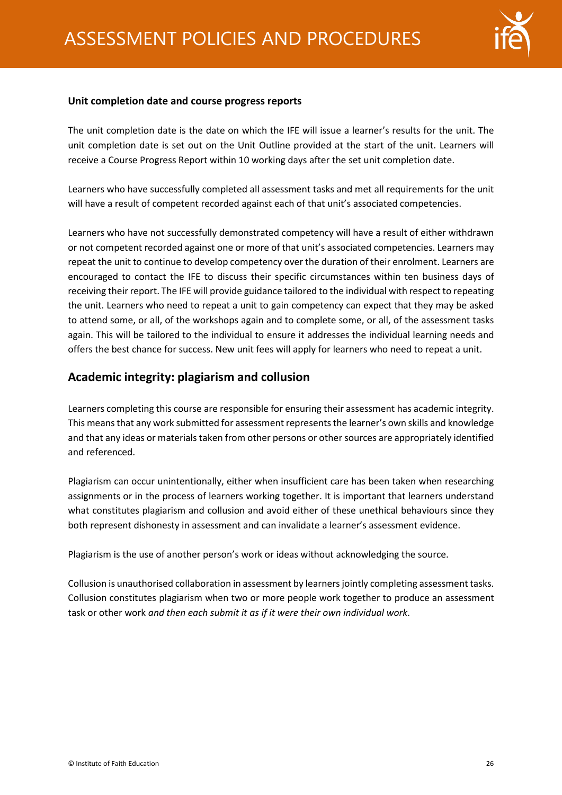

#### <span id="page-25-0"></span>**Unit completion date and course progress reports**

The unit completion date is the date on which the IFE will issue a learner's results for the unit. The unit completion date is set out on the Unit Outline provided at the start of the unit. Learners will receive a Course Progress Report within 10 working days after the set unit completion date.

Learners who have successfully completed all assessment tasks and met all requirements for the unit will have a result of competent recorded against each of that unit's associated competencies.

Learners who have not successfully demonstrated competency will have a result of either withdrawn or not competent recorded against one or more of that unit's associated competencies. Learners may repeat the unit to continue to develop competency over the duration of their enrolment. Learners are encouraged to contact the IFE to discuss their specific circumstances within ten business days of receiving their report. The IFE will provide guidance tailored to the individual with respect to repeating the unit. Learners who need to repeat a unit to gain competency can expect that they may be asked to attend some, or all, of the workshops again and to complete some, or all, of the assessment tasks again. This will be tailored to the individual to ensure it addresses the individual learning needs and offers the best chance for success. New unit fees will apply for learners who need to repeat a unit.

## <span id="page-25-1"></span>**Academic integrity: plagiarism and collusion**

Learners completing this course are responsible for ensuring their assessment has academic integrity. This means that any work submitted for assessment represents the learner's own skills and knowledge and that any ideas or materials taken from other persons or other sources are appropriately identified and referenced.

Plagiarism can occur unintentionally, either when insufficient care has been taken when researching assignments or in the process of learners working together. It is important that learners understand what constitutes plagiarism and collusion and avoid either of these unethical behaviours since they both represent dishonesty in assessment and can invalidate a learner's assessment evidence.

Plagiarism is the use of another person's work or ideas without acknowledging the source.

Collusion is unauthorised collaboration in assessment by learners jointly completing assessment tasks. Collusion constitutes plagiarism when two or more people work together to produce an assessment task or other work *and then each submit it as if it were their own individual work*.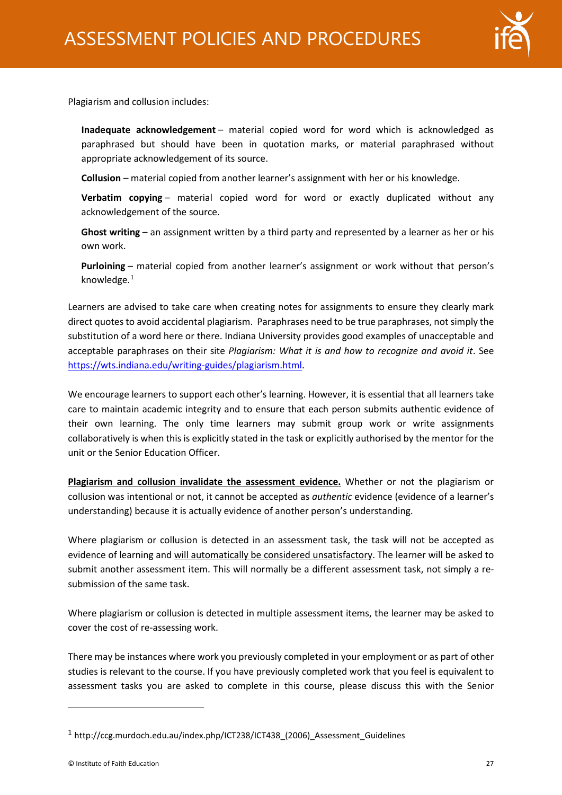

Plagiarism and collusion includes:

**Inadequate acknowledgement** – material copied word for word which is acknowledged as paraphrased but should have been in quotation marks, or material paraphrased without appropriate acknowledgement of its source.

**Collusion** – material copied from another learner's assignment with her or his knowledge.

**Verbatim copying** – material copied word for word or exactly duplicated without any acknowledgement of the source.

**Ghost writing** – an assignment written by a third party and represented by a learner as her or his own work.

**Purloining** – material copied from another learner's assignment or work without that person's knowledge. $1$ 

Learners are advised to take care when creating notes for assignments to ensure they clearly mark direct quotes to avoid accidental plagiarism. Paraphrases need to be true paraphrases, not simply the substitution of a word here or there. Indiana University provides good examples of unacceptable and acceptable paraphrases on their site *Plagiarism: What it is and how to recognize and avoid it*. See [https://wts.indiana.edu/writing-guides/plagiarism.html.](https://wts.indiana.edu/writing-guides/plagiarism.html)

We encourage learners to support each other's learning. However, it is essential that all learners take care to maintain academic integrity and to ensure that each person submits authentic evidence of their own learning. The only time learners may submit group work or write assignments collaboratively is when this is explicitly stated in the task or explicitly authorised by the mentor for the unit or the Senior Education Officer.

**Plagiarism and collusion invalidate the assessment evidence.** Whether or not the plagiarism or collusion was intentional or not, it cannot be accepted as *authentic* evidence (evidence of a learner's understanding) because it is actually evidence of another person's understanding.

Where plagiarism or collusion is detected in an assessment task, the task will not be accepted as evidence of learning and will automatically be considered unsatisfactory. The learner will be asked to submit another assessment item. This will normally be a different assessment task, not simply a resubmission of the same task.

Where plagiarism or collusion is detected in multiple assessment items, the learner may be asked to cover the cost of re-assessing work.

There may be instances where work you previously completed in your employment or as part of other studies is relevant to the course. If you have previously completed work that you feel is equivalent to assessment tasks you are asked to complete in this course, please discuss this with the Senior

 $\overline{a}$ 

<span id="page-26-0"></span> $1$  http://ccg.murdoch.edu.au/index.php/ICT238/ICT438 (2006) Assessment Guidelines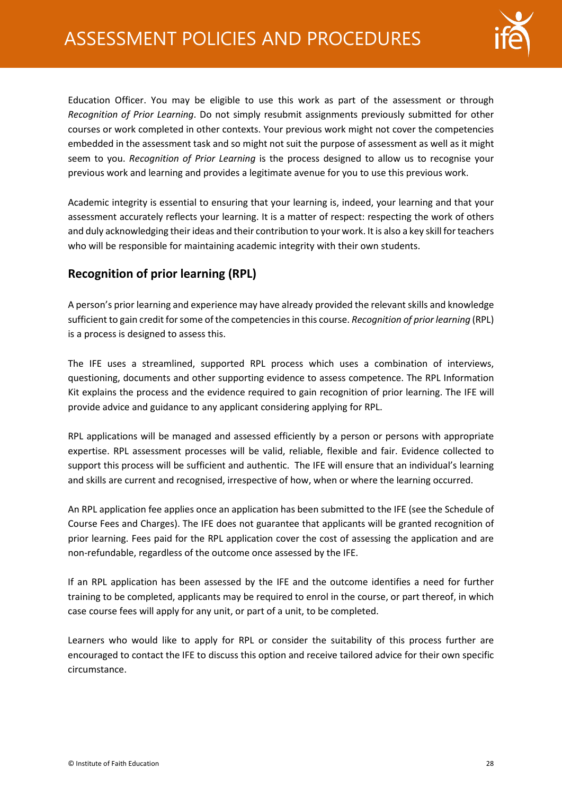

Education Officer. You may be eligible to use this work as part of the assessment or through *Recognition of Prior Learning*. Do not simply resubmit assignments previously submitted for other courses or work completed in other contexts. Your previous work might not cover the competencies embedded in the assessment task and so might not suit the purpose of assessment as well as it might seem to you. *Recognition of Prior Learning* is the process designed to allow us to recognise your previous work and learning and provides a legitimate avenue for you to use this previous work.

Academic integrity is essential to ensuring that your learning is, indeed, your learning and that your assessment accurately reflects your learning. It is a matter of respect: respecting the work of others and duly acknowledging their ideas and their contribution to your work. It is also a key skill for teachers who will be responsible for maintaining academic integrity with their own students.

## <span id="page-27-0"></span>**Recognition of prior learning (RPL)**

A person's prior learning and experience may have already provided the relevant skills and knowledge sufficient to gain credit for some of the competencies in this course. *Recognition of prior learning* (RPL) is a process is designed to assess this.

The IFE uses a streamlined, supported RPL process which uses a combination of interviews, questioning, documents and other supporting evidence to assess competence. The RPL Information Kit explains the process and the evidence required to gain recognition of prior learning. The IFE will provide advice and guidance to any applicant considering applying for RPL.

RPL applications will be managed and assessed efficiently by a person or persons with appropriate expertise. RPL assessment processes will be valid, reliable, flexible and fair. Evidence collected to support this process will be sufficient and authentic. The IFE will ensure that an individual's learning and skills are current and recognised, irrespective of how, when or where the learning occurred.

An RPL application fee applies once an application has been submitted to the IFE (see the Schedule of Course Fees and Charges). The IFE does not guarantee that applicants will be granted recognition of prior learning. Fees paid for the RPL application cover the cost of assessing the application and are non-refundable, regardless of the outcome once assessed by the IFE.

If an RPL application has been assessed by the IFE and the outcome identifies a need for further training to be completed, applicants may be required to enrol in the course, or part thereof, in which case course fees will apply for any unit, or part of a unit, to be completed.

Learners who would like to apply for RPL or consider the suitability of this process further are encouraged to contact the IFE to discuss this option and receive tailored advice for their own specific circumstance.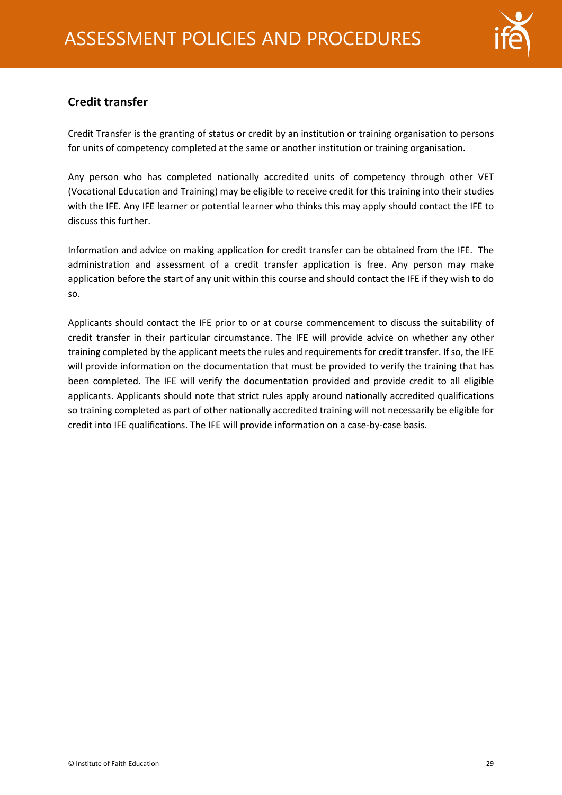

## <span id="page-28-0"></span>**Credit transfer**

Credit Transfer is the granting of status or credit by an institution or training organisation to persons for units of competency completed at the same or another institution or training organisation.

Any person who has completed nationally accredited units of competency through other VET (Vocational Education and Training) may be eligible to receive credit for this training into their studies with the IFE. Any IFE learner or potential learner who thinks this may apply should contact the IFE to discuss this further.

Information and advice on making application for credit transfer can be obtained from [the](mailto:admin@impactcreativity.com.au) IFE. The administration and assessment of a credit transfer application is free. Any person may make application before the start of any unit within this course and should contact the IFE if they wish to do so.

Applicants should contact the IFE prior to or at course commencement to discuss the suitability of credit transfer in their particular circumstance. The IFE will provide advice on whether any other training completed by the applicant meets the rules and requirements for credit transfer. If so, the IFE will provide information on the documentation that must be provided to verify the training that has been completed. The IFE will verify the documentation provided and provide credit to all eligible applicants. Applicants should note that strict rules apply around nationally accredited qualifications so training completed as part of other nationally accredited training will not necessarily be eligible for credit into IFE qualifications. The IFE will provide information on a case-by-case basis.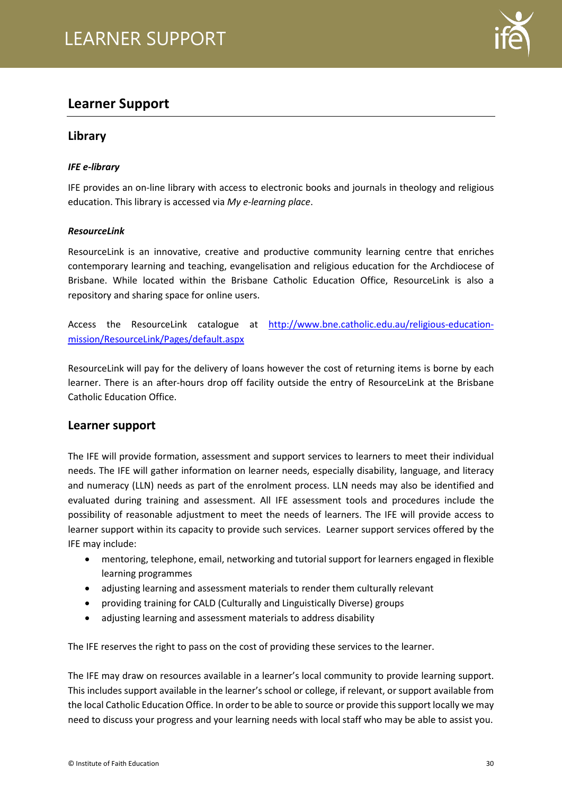

## <span id="page-29-0"></span>**Learner Support**

## <span id="page-29-1"></span>**Library**

#### *IFE e-library*

IFE provides an on-line library with access to electronic books and journals in theology and religious education. This library is accessed via *My e-learning place*.

#### *ResourceLink*

ResourceLink is an innovative, creative and productive community learning centre that enriches contemporary learning and teaching, evangelisation and religious education for the Archdiocese of Brisbane. While located within the Brisbane Catholic Education Office, ResourceLink is also a repository and sharing space for online users.

Access the ResourceLink catalogue at [http://www.bne.catholic.edu.au/religious-education](http://www.bne.catholic.edu.au/religious-education-mission/ResourceLink/Pages/default.aspx)[mission/ResourceLink/Pages/default.aspx](http://www.bne.catholic.edu.au/religious-education-mission/ResourceLink/Pages/default.aspx)

ResourceLink will pay for the delivery of loans however the cost of returning items is borne by each learner. There is an after-hours drop off facility outside the entry of ResourceLink at the Brisbane Catholic Education Office.

## <span id="page-29-2"></span>**Learner support**

The IFE will provide formation, assessment and support services to learners to meet their individual needs. The IFE will gather information on learner needs, especially disability, language, and literacy and numeracy (LLN) needs as part of the enrolment process. LLN needs may also be identified and evaluated during training and assessment. All IFE assessment tools and procedures include the possibility of reasonable adjustment to meet the needs of learners. The IFE will provide access to learner support within its capacity to provide such services. Learner support services offered by the IFE may include:

- mentoring, telephone, email, networking and tutorial support for learners engaged in flexible learning programmes
- adjusting learning and assessment materials to render them culturally relevant
- providing training for CALD (Culturally and Linguistically Diverse) groups
- adjusting learning and assessment materials to address disability

The IFE reserves the right to pass on the cost of providing these services to the learner.

The IFE may draw on resources available in a learner's local community to provide learning support. This includes support available in the learner's school or college, if relevant, or support available from the local Catholic Education Office. In order to be able to source or provide this support locally we may need to discuss your progress and your learning needs with local staff who may be able to assist you.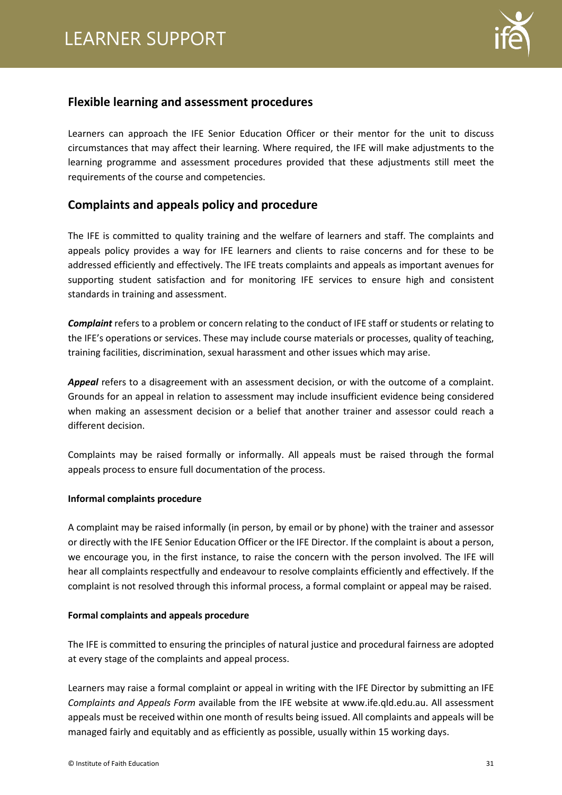

## <span id="page-30-0"></span>**Flexible learning and assessment procedures**

Learners can approach the IFE Senior Education Officer or their mentor for the unit to discuss circumstances that may affect their learning. Where required, the IFE will make adjustments to the learning programme and assessment procedures provided that these adjustments still meet the requirements of the course and competencies.

## <span id="page-30-1"></span>**Complaints and appeals policy and procedure**

The IFE is committed to quality training and the welfare of learners and staff. The complaints and appeals policy provides a way for IFE learners and clients to raise concerns and for these to be addressed efficiently and effectively. The IFE treats complaints and appeals as important avenues for supporting student satisfaction and for monitoring IFE services to ensure high and consistent standards in training and assessment.

*Complaint* refers to a problem or concern relating to the conduct of IFE staff or students or relating to the IFE's operations or services. These may include course materials or processes, quality of teaching, training facilities, discrimination, sexual harassment and other issues which may arise.

Appeal refers to a disagreement with an assessment decision, or with the outcome of a complaint. Grounds for an appeal in relation to assessment may include insufficient evidence being considered when making an assessment decision or a belief that another trainer and assessor could reach a different decision.

Complaints may be raised formally or informally. All appeals must be raised through the formal appeals process to ensure full documentation of the process.

#### **Informal complaints procedure**

A complaint may be raised informally (in person, by email or by phone) with the trainer and assessor or directly with the IFE Senior Education Officer or the IFE Director. If the complaint is about a person, we encourage you, in the first instance, to raise the concern with the person involved. The IFE will hear all complaints respectfully and endeavour to resolve complaints efficiently and effectively. If the complaint is not resolved through this informal process, a formal complaint or appeal may be raised.

#### **Formal complaints and appeals procedure**

The IFE is committed to ensuring the principles of natural justice and procedural fairness are adopted at every stage of the complaints and appeal process.

Learners may raise a formal complaint or appeal in writing with the IFE Director by submitting an IFE *Complaints and Appeals Form* available from the IFE website at www.ife.qld.edu.au. All assessment appeals must be received within one month of results being issued. All complaints and appeals will be managed fairly and equitably and as efficiently as possible, usually within 15 working days.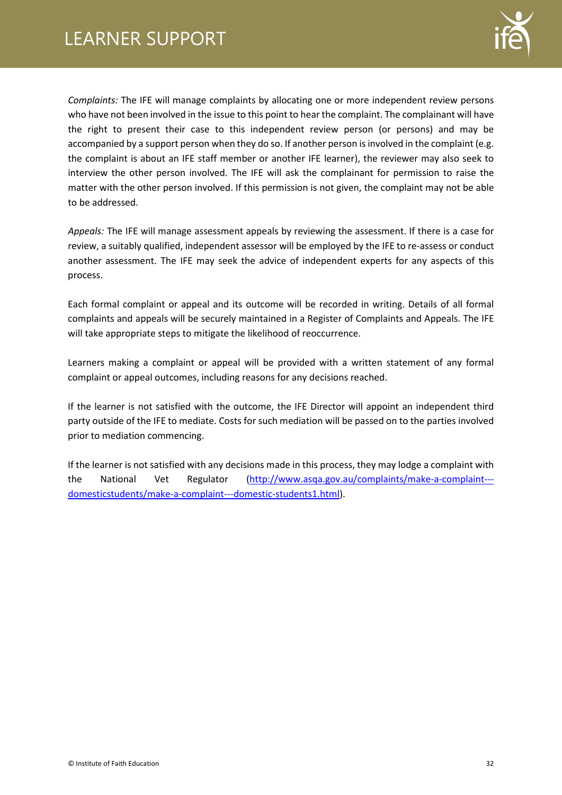

*Complaints:* The IFE will manage complaints by allocating one or more independent review persons who have not been involved in the issue to this point to hear the complaint. The complainant will have the right to present their case to this independent review person (or persons) and may be accompanied by a support person when they do so. If another person is involved in the complaint (e.g. the complaint is about an IFE staff member or another IFE learner), the reviewer may also seek to interview the other person involved. The IFE will ask the complainant for permission to raise the matter with the other person involved. If this permission is not given, the complaint may not be able to be addressed.

*Appeals:* The IFE will manage assessment appeals by reviewing the assessment. If there is a case for review, a suitably qualified, independent assessor will be employed by the IFE to re-assess or conduct another assessment. The IFE may seek the advice of independent experts for any aspects of this process.

Each formal complaint or appeal and its outcome will be recorded in writing. Details of all formal complaints and appeals will be securely maintained in a Register of Complaints and Appeals. The IFE will take appropriate steps to mitigate the likelihood of reoccurrence.

Learners making a complaint or appeal will be provided with a written statement of any formal complaint or appeal outcomes, including reasons for any decisions reached.

If the learner is not satisfied with the outcome, the IFE Director will appoint an independent third party outside of the IFE to mediate. Costs for such mediation will be passed on to the parties involved prior to mediation commencing.

If the learner is not satisfied with any decisions made in this process, they may lodge a complaint with the National Vet Regulator [\(http://www.asqa.gov.au/complaints/make-a-complaint--](http://www.asqa.gov.au/complaints/make-a-complaint---domesticstudents/make-a-complaint---domestic-students1.html) [domesticstudents/make-a-complaint---domestic-students1.html\)](http://www.asqa.gov.au/complaints/make-a-complaint---domesticstudents/make-a-complaint---domestic-students1.html).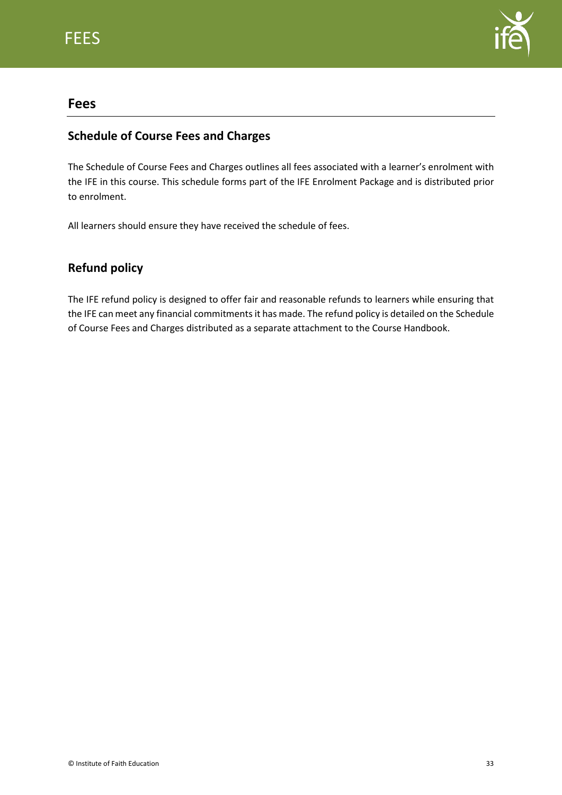

## <span id="page-32-0"></span>**Fees**

## <span id="page-32-1"></span>**Schedule of Course Fees and Charges**

The Schedule of Course Fees and Charges outlines all fees associated with a learner's enrolment with the IFE in this course. This schedule forms part of the IFE Enrolment Package and is distributed prior to enrolment.

All learners should ensure they have received the schedule of fees.

## <span id="page-32-2"></span>**Refund policy**

The IFE refund policy is designed to offer fair and reasonable refunds to learners while ensuring that the IFE can meet any financial commitments it has made. The refund policy is detailed on the Schedule of Course Fees and Charges distributed as a separate attachment to the Course Handbook.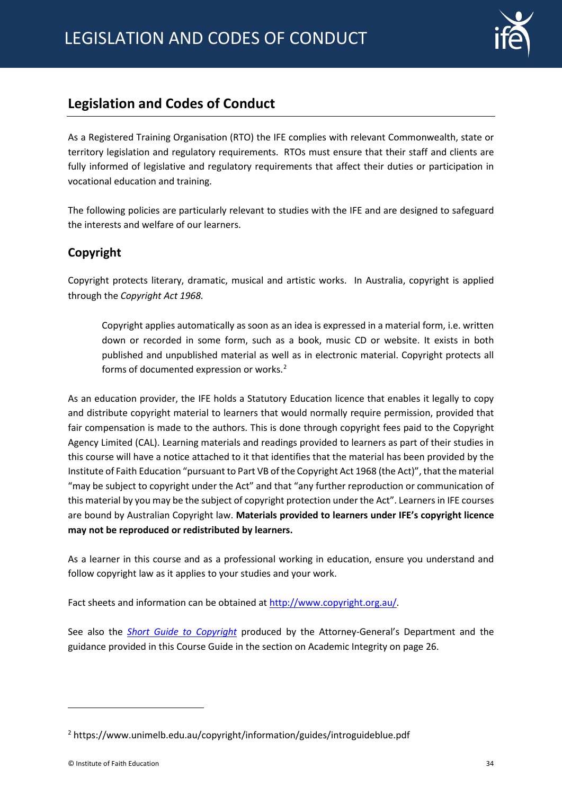

## <span id="page-33-0"></span>**Legislation and Codes of Conduct**

As a Registered Training Organisation (RTO) the IFE complies with relevant Commonwealth, state or territory legislation and regulatory requirements. RTOs must ensure that their staff and clients are fully informed of legislative and regulatory requirements that affect their duties or participation in vocational education and training.

The following policies are particularly relevant to studies with the IFE and are designed to safeguard the interests and welfare of our learners.

## <span id="page-33-1"></span>**Copyright**

Copyright protects literary, dramatic, musical and artistic works. In Australia, copyright is applied through the *Copyright Act 1968.*

Copyright applies automatically as soon as an idea is expressed in a material form, i.e. written down or recorded in some form, such as a book, music CD or website. It exists in both published and unpublished material as well as in electronic material. Copyright protects all forms of documented expression or works.[2](#page-33-2)

As an education provider, the IFE holds a Statutory Education licence that enables it legally to copy and distribute copyright material to learners that would normally require permission, provided that fair compensation is made to the authors. This is done through copyright fees paid to the Copyright Agency Limited (CAL). Learning materials and readings provided to learners as part of their studies in this course will have a notice attached to it that identifies that the material has been provided by the Institute of Faith Education "pursuant to Part VB of the Copyright Act 1968 (the Act)", that the material "may be subject to copyright under the Act" and that "any further reproduction or communication of this material by you may be the subject of copyright protection under the Act". Learners in IFE courses are bound by Australian Copyright law. **Materials provided to learners under IFE's copyright licence may not be reproduced or redistributed by learners.**

As a learner in this course and as a professional working in education, ensure you understand and follow copyright law as it applies to your studies and your work.

Fact sheets and information can be obtained a[t http://www.copyright.org.au/.](http://www.copyright.org.au/)

See also the *[Short Guide to Copyright](https://www.ag.gov.au/RightsAndProtections/Documents/ShortGuidetoCopyright-October2012.pdf)* produced by the Attorney-General's Department and the guidance provided in this Course Guide in the section on Academic Integrity on page [26.](#page-25-1)

**.** 

<span id="page-33-2"></span><sup>2</sup> https://www.unimelb.edu.au/copyright/information/guides/introguideblue.pdf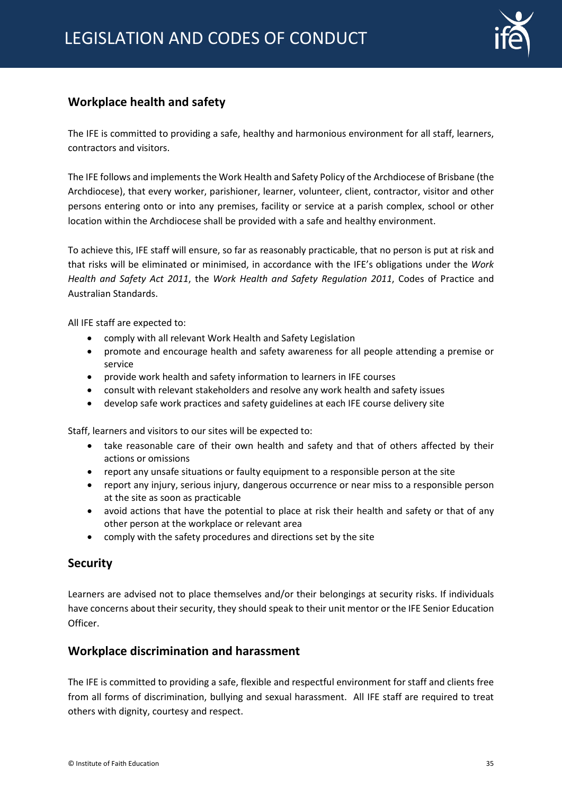

## <span id="page-34-0"></span>**Workplace health and safety**

The IFE is committed to providing a safe, healthy and harmonious environment for all staff, learners, contractors and visitors.

The IFE follows and implements the Work Health and Safety Policy of the Archdiocese of Brisbane (the Archdiocese), that every worker, parishioner, learner, volunteer, client, contractor, visitor and other persons entering onto or into any premises, facility or service at a parish complex, school or other location within the Archdiocese shall be provided with a safe and healthy environment.

To achieve this, IFE staff will ensure, so far as reasonably practicable, that no person is put at risk and that risks will be eliminated or minimised, in accordance with the IFE's obligations under the *Work Health and Safety Act 2011*, the *Work Health and Safety Regulation 2011*, Codes of Practice and Australian Standards.

All IFE staff are expected to:

- comply with all relevant Work Health and Safety Legislation
- promote and encourage health and safety awareness for all people attending a premise or service
- provide work health and safety information to learners in IFE courses
- consult with relevant stakeholders and resolve any work health and safety issues
- develop safe work practices and safety guidelines at each IFE course delivery site

Staff, learners and visitors to our sites will be expected to:

- take reasonable care of their own health and safety and that of others affected by their actions or omissions
- report any unsafe situations or faulty equipment to a responsible person at the site
- report any injury, serious injury, dangerous occurrence or near miss to a responsible person at the site as soon as practicable
- avoid actions that have the potential to place at risk their health and safety or that of any other person at the workplace or relevant area
- comply with the safety procedures and directions set by the site

## <span id="page-34-1"></span>**Security**

Learners are advised not to place themselves and/or their belongings at security risks. If individuals have concerns about their security, they should speak to their unit mentor or the IFE Senior Education Officer.

## <span id="page-34-2"></span>**Workplace discrimination and harassment**

The IFE is committed to providing a safe, flexible and respectful environment for staff and clients free from all forms of discrimination, bullying and sexual harassment. All IFE staff are required to treat others with dignity, courtesy and respect.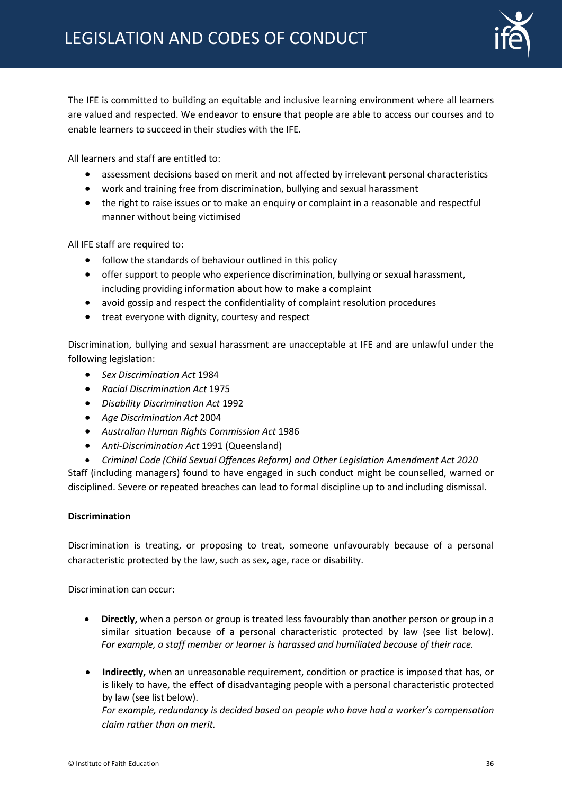

The IFE is committed to building an equitable and inclusive learning environment where all learners are valued and respected. We endeavor to ensure that people are able to access our courses and to enable learners to succeed in their studies with the IFE.

All learners and staff are entitled to:

- assessment decisions based on merit and not affected by irrelevant personal characteristics
- work and training free from discrimination, bullying and sexual harassment
- the right to raise issues or to make an enquiry or complaint in a reasonable and respectful manner without being victimised

All IFE staff are required to:

- follow the standards of behaviour outlined in this policy
- offer support to people who experience discrimination, bullying or sexual harassment, including providing information about how to make a complaint
- avoid gossip and respect the confidentiality of complaint resolution procedures
- treat everyone with dignity, courtesy and respect

Discrimination, bullying and sexual harassment are unacceptable at IFE and are unlawful under the following legislation:

- *Sex Discrimination Act* 1984
- *Racial Discrimination Act* 1975
- *Disability Discrimination Act* 1992
- *Age Discrimination Act* 2004
- *Australian Human Rights Commission Act* 1986
- *[Anti-Discrimination Act](http://www.legislation.qld.gov.au/Search/isysquery/5d6eb6ba-9953-4f5d-825e-ae6a657e6327/1/doc/AntiDiscrimA91.pdf#xml=http://www.legislation.qld.gov.au/Search/isysquery/5d6eb6ba-9953-4f5d-825e-ae6a657e6327/1/hilite/)* 1991 (Queensland)
- *Criminal Code (Child Sexual Offences Reform) and Other Legislation Amendment Act 2020*

Staff (including managers) found to have engaged in such conduct might be counselled, warned or disciplined. Severe or repeated breaches can lead to formal discipline up to and including dismissal.

#### **Discrimination**

Discrimination is treating, or proposing to treat, someone unfavourably because of a personal characteristic protected by the law, such as sex, age, race or disability.

Discrimination can occur:

- **Directly,** when a person or group is treated less favourably than another person or group in a similar situation because of a personal characteristic protected by law (see list below). *For example, a staff member or learner is harassed and humiliated because of their race.*
- **Indirectly,** when an unreasonable requirement, condition or practice is imposed that has, or is likely to have, the effect of disadvantaging people with a personal characteristic protected by law (see list below).

*For example, redundancy is decided based on people who have had a worker's compensation claim rather than on merit.*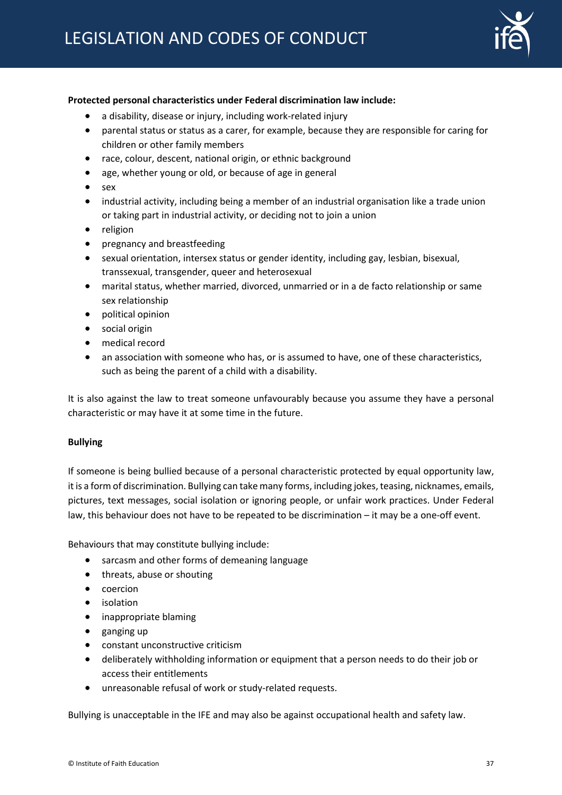

#### **Protected personal characteristics under Federal discrimination law include:**

- a disability, disease or injury, including work-related injury
- parental status or status as a carer, for example, because they are responsible for caring for children or other family members
- race, colour, descent, national origin, or ethnic background
- age, whether young or old, or because of age in general
- sex
- industrial activity, including being a member of an industrial organisation like a trade union or taking part in [industrial activity,](http://www.humanrightscommission.vic.gov.au/index.php?option=com_k2&view=item&layout=item&id=730&Itemid=546) or deciding not to join a union
- religion
- [pregnancy and breastfeeding](http://www.humanrightscommission.vic.gov.au/index.php?option=com_k2&view=item&layout=item&id=id=1097&Itemid=468)
- sexual orientation, intersex status or gender identity, including gay, lesbian, bisexual, transsexual, transgender, queer and heterosexual
- marital status, whether married, divorced, unmarried or in a de facto relationship or same sex relationship
- political opinion
- social origin
- medical record
- an association with someone who has, or is assumed to have, one of these characteristics, such as being the parent of a child with a disability.

It is also against the law to treat someone unfavourably because you assume they have a personal characteristic or may have it at some time in the future.

#### **Bullying**

If someone is being bullied because of a personal characteristic protected by equal opportunity law, it is a form of discrimination. Bullying can take many forms, including jokes, teasing, nicknames, emails, pictures, text messages, social isolation or ignoring people, or unfair work practices. Under Federal law, this behaviour does not have to be repeated to be discrimination – it may be a one-off event.

Behaviours that may constitute bullying include:

- sarcasm and other forms of demeaning language
- threats, abuse or shouting
- coercion
- isolation
- inappropriate blaming
- ganging up
- constant unconstructive criticism
- deliberately withholding information or equipment that a person needs to do their job or access their entitlements
- unreasonable refusal of work or study-related requests.

Bullying is unacceptable in the IFE and may also be against occupational health and safety law.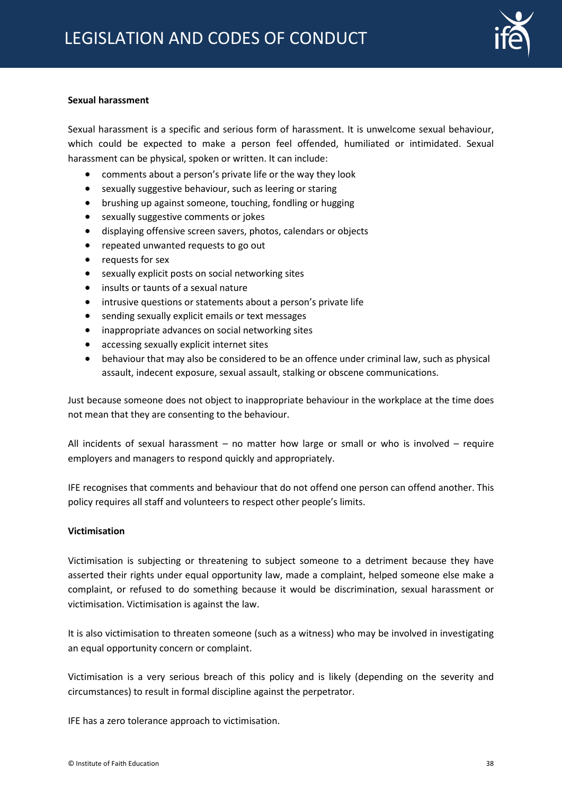

#### **Sexual harassment**

Sexual harassment is a specific and serious form of harassment. It is unwelcome sexual behaviour, which could be expected to make a person feel offended, humiliated or intimidated. Sexual harassment can be physical, spoken or written. It can include:

- comments about a person's private life or the way they look
- sexually suggestive behaviour, such as leering or staring
- brushing up against someone, touching, fondling or hugging
- sexually suggestive comments or jokes
- displaying offensive screen savers, photos, calendars or objects
- repeated unwanted requests to go out
- requests for sex
- sexually explicit posts on social networking sites
- insults or taunts of a sexual nature
- intrusive questions or statements about a person's private life
- sending sexually explicit emails or text messages
- inappropriate advances on social networking sites
- accessing sexually explicit internet sites
- behaviour that may also be considered to be an offence under criminal law, such as physical assault, indecent exposure, sexual assault, stalking or obscene communications.

Just because someone does not object to inappropriate behaviour in the workplace at the time does not mean that they are consenting to the behaviour.

All incidents of sexual harassment – no matter how large or small or who is involved – require employers and managers to respond quickly and appropriately.

IFE recognises that comments and behaviour that do not offend one person can offend another. This policy requires all staff and volunteers to respect other people's limits.

#### **Victimisation**

Victimisation is subjecting or threatening to subject someone to a detriment because they have asserted their rights under equal opportunity law, made a complaint, helped someone else make a complaint, or refused to do something because it would be discrimination, sexual harassment or victimisation. Victimisation is against the law.

It is also victimisation to threaten someone (such as a witness) who may be involved in investigating an equal opportunity concern or complaint.

Victimisation is a very serious breach of this policy and is likely (depending on the severity and circumstances) to result in formal discipline against the perpetrator.

IFE has a zero tolerance approach to victimisation.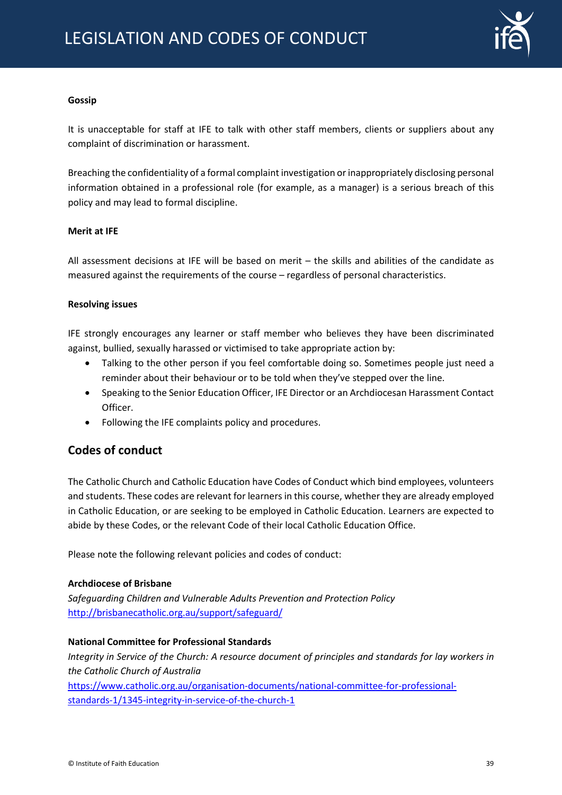

#### **Gossip**

It is unacceptable for staff at IFE to talk with other staff members, clients or suppliers about any complaint of discrimination or harassment.

Breaching the confidentiality of a formal complaint investigation or inappropriately disclosing personal information obtained in a professional role (for example, as a manager) is a serious breach of this policy and may lead to formal discipline.

#### **Merit at IFE**

All assessment decisions at IFE will be based on merit – the skills and abilities of the candidate as measured against the requirements of the course – regardless of personal characteristics.

#### **Resolving issues**

IFE strongly encourages any learner or staff member who believes they have been discriminated against, bullied, sexually harassed or victimised to take appropriate action by:

- Talking to the other person if you feel comfortable doing so. Sometimes people just need a reminder about their behaviour or to be told when they've stepped over the line.
- Speaking to the Senior Education Officer, IFE Director or an Archdiocesan Harassment Contact Officer.
- Following the IFE complaints policy and procedures.

## <span id="page-38-0"></span>**Codes of conduct**

The Catholic Church and Catholic Education have Codes of Conduct which bind employees, volunteers and students. These codes are relevant for learners in this course, whether they are already employed in Catholic Education, or are seeking to be employed in Catholic Education. Learners are expected to abide by these Codes, or the relevant Code of their local Catholic Education Office.

Please note the following relevant policies and codes of conduct:

#### **Archdiocese of Brisbane**

*Safeguarding Children and Vulnerable Adults Prevention and Protection Policy*  <http://brisbanecatholic.org.au/support/safeguard/>

#### **National Committee for Professional Standards**

*Integrity in Service of the Church: A resource document of principles and standards for lay workers in the Catholic Church of Australia* 

[https://www.catholic.org.au/organisation-documents/national-committee-for-professional](https://www.catholic.org.au/organisation-documents/national-committee-for-professional-standards-1/1345-integrity-in-service-of-the-church-1)[standards-1/1345-integrity-in-service-of-the-church-1](https://www.catholic.org.au/organisation-documents/national-committee-for-professional-standards-1/1345-integrity-in-service-of-the-church-1)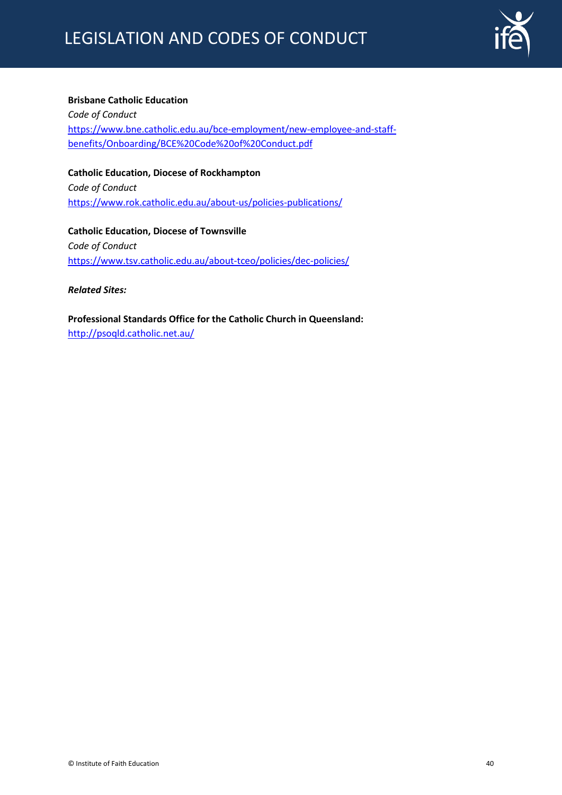## LEGISLATION AND CODES OF CONDUCT



#### **Brisbane Catholic Education**

*Code of Conduct* [https://www.bne.catholic.edu.au/bce-employment/new-employee-and-staff](https://www.bne.catholic.edu.au/bce-employment/new-employee-and-staff-benefits/Onboarding/BCE%20Code%20of%20Conduct.pdf)[benefits/Onboarding/BCE%20Code%20of%20Conduct.pdf](https://www.bne.catholic.edu.au/bce-employment/new-employee-and-staff-benefits/Onboarding/BCE%20Code%20of%20Conduct.pdf)

**Catholic Education, Diocese of Rockhampton**  *Code of Conduct* <https://www.rok.catholic.edu.au/about-us/policies-publications/>

**Catholic Education, Diocese of Townsville** *Code of Conduct* <https://www.tsv.catholic.edu.au/about-tceo/policies/dec-policies/>

*Related Sites:*

**Professional Standards Office for the Catholic Church in Queensland:** <http://psoqld.catholic.net.au/>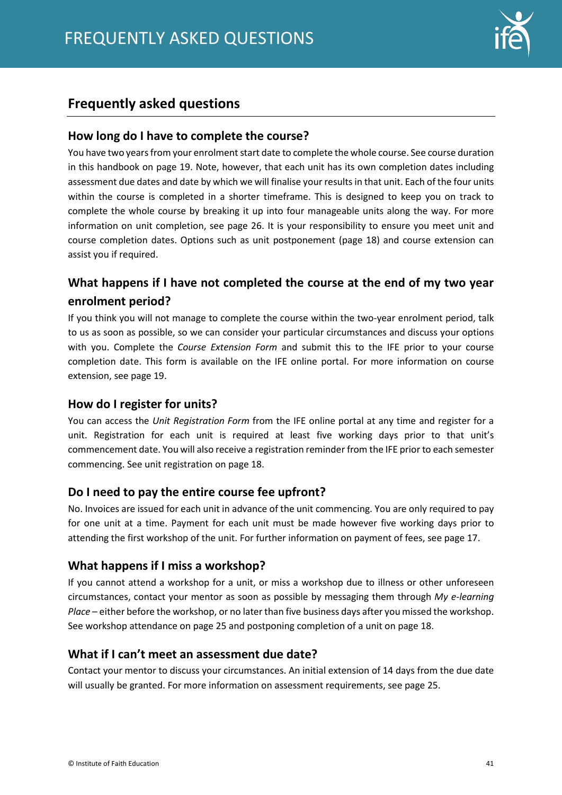

## <span id="page-40-0"></span>**Frequently asked questions**

## <span id="page-40-1"></span>**How long do I have to complete the course?**

You have two years from your enrolment start date to complete the whole course. See course duration in this handbook on page [19.](#page-18-1) Note, however, that each unit has its own completion dates including assessment due dates and date by which we will finalise your results in that unit. Each of the four units within the course is completed in a shorter timeframe. This is designed to keep you on track to complete the whole course by breaking it up into four manageable units along the way. For more information on unit completion, see page [26.](#page-25-0) It is your responsibility to ensure you meet unit and course completion dates. Options such as unit postponement (page [18\)](#page-17-1) and course extension can assist you if required.

## <span id="page-40-2"></span>**What happens if I have not completed the course at the end of my two year enrolment period?**

If you think you will not manage to complete the course within the two-year enrolment period, talk to us as soon as possible, so we can consider your particular circumstances and discuss your options with you. Complete the *Course Extension Form* and submit this to the IFE prior to your course completion date. This form is available on the IFE online portal. For more information on course extension, see page [19.](#page-18-1)

## <span id="page-40-3"></span>**How do I register for units?**

You can access the *Unit Registration Form* from the IFE online portal at any time and register for a unit. Registration for each unit is required at least five working days prior to that unit's commencement date. You will also receive a registration reminder from the IFE prior to each semester commencing. See unit registration on page [18.](#page-17-0)

## <span id="page-40-4"></span>**Do I need to pay the entire course fee upfront?**

No. Invoices are issued for each unit in advance of the unit commencing. You are only required to pay for one unit at a time. Payment for each unit must be made however five working days prior to attending the first workshop of the unit. For further information on payment of fees, see pag[e 17.](#page-16-3)

## <span id="page-40-5"></span>**What happens if I miss a workshop?**

If you cannot attend a workshop for a unit, or miss a workshop due to illness or other unforeseen circumstances, contact your mentor as soon as possible by messaging them through *My e-learning Place* – either before the workshop, or no later than five business days after you missed the workshop. See workshop attendance on pag[e 25](#page-24-4) and postponing completion of a unit on page [18.](#page-17-1)

## <span id="page-40-6"></span>**What if I can't meet an assessment due date?**

Contact your mentor to discuss your circumstances. An initial extension of 14 days from the due date will usually be granted. For more information on assessment requirements, see page [25.](#page-24-1)